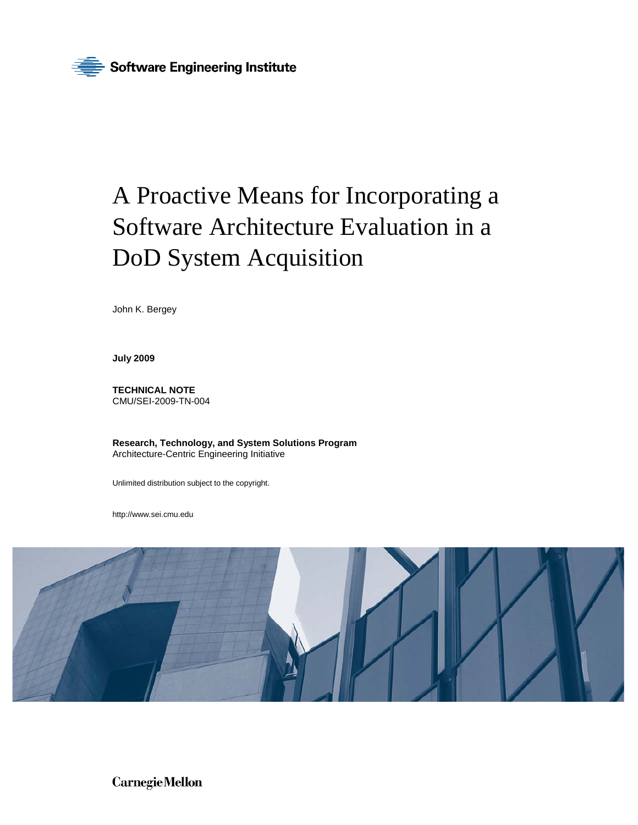

# A Proactive Means for Incorporating a Software Architecture Evaluation in a DoD System Acquisition

John K. Bergey

**July 2009** 

**TECHNICAL NOTE**  CMU/SEI-2009-TN-004

**Research, Technology, and System Solutions Program**  Architecture-Centric Engineering Initiative

Unlimited distribution subject to the copyright.

<http://www.sei.cmu.edu>



**Carnegie Mellon**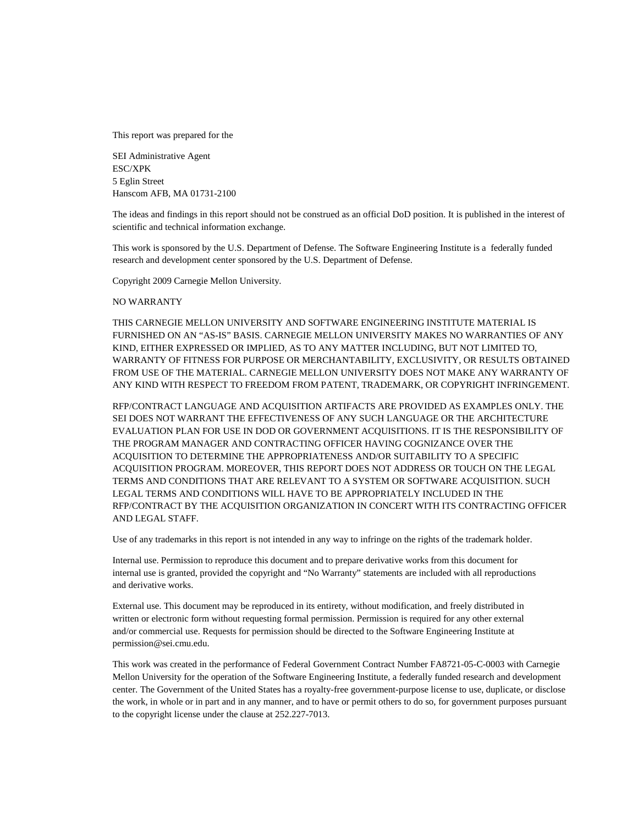This report was prepared for the

SEI Administrative Agent ESC/XPK 5 Eglin Street Hanscom AFB, MA 01731-2100

The ideas and findings in this report should not be construed as an official DoD position. It is published in the interest of scientific and technical information exchange.

This work is sponsored by the U.S. Department of Defense. The Software Engineering Institute is a federally funded research and development center sponsored by the U.S. Department of Defense.

Copyright 2009 Carnegie Mellon University.

#### NO WARRANTY

THIS CARNEGIE MELLON UNIVERSITY AND SOFTWARE ENGINEERING INSTITUTE MATERIAL IS FURNISHED ON AN "AS-IS" BASIS. CARNEGIE MELLON UNIVERSITY MAKES NO WARRANTIES OF ANY KIND, EITHER EXPRESSED OR IMPLIED, AS TO ANY MATTER INCLUDING, BUT NOT LIMITED TO, WARRANTY OF FITNESS FOR PURPOSE OR MERCHANTABILITY, EXCLUSIVITY, OR RESULTS OBTAINED FROM USE OF THE MATERIAL. CARNEGIE MELLON UNIVERSITY DOES NOT MAKE ANY WARRANTY OF ANY KIND WITH RESPECT TO FREEDOM FROM PATENT, TRADEMARK, OR COPYRIGHT INFRINGEMENT.

RFP/CONTRACT LANGUAGE AND ACQUISITION ARTIFACTS ARE PROVIDED AS EXAMPLES ONLY. THE SEI DOES NOT WARRANT THE EFFECTIVENESS OF ANY SUCH LANGUAGE OR THE ARCHITECTURE EVALUATION PLAN FOR USE IN DOD OR GOVERNMENT ACQUISITIONS. IT IS THE RESPONSIBILITY OF THE PROGRAM MANAGER AND CONTRACTING OFFICER HAVING COGNIZANCE OVER THE ACQUISITION TO DETERMINE THE APPROPRIATENESS AND/OR SUITABILITY TO A SPECIFIC ACQUISITION PROGRAM. MOREOVER, THIS REPORT DOES NOT ADDRESS OR TOUCH ON THE LEGAL TERMS AND CONDITIONS THAT ARE RELEVANT TO A SYSTEM OR SOFTWARE ACQUISITION. SUCH LEGAL TERMS AND CONDITIONS WILL HAVE TO BE APPROPRIATELY INCLUDED IN THE RFP/CONTRACT BY THE ACQUISITION ORGANIZATION IN CONCERT WITH ITS CONTRACTING OFFICER AND LEGAL STAFF.

Use of any trademarks in this report is not intended in any way to infringe on the rights of the trademark holder.

Internal use. Permission to reproduce this document and to prepare derivative works from this document for internal use is granted, provided the copyright and "No Warranty" statements are included with all reproductions and derivative works.

External use. This document may be reproduced in its entirety, without modification, and freely distributed in written or electronic form without requesting formal permission. Permission is required for any other external and/or commercial use. Requests for permission should be directed to the Software Engineering Institute at [permission@sei.cmu.edu.](mailto:permission@sei.cmu.edu) 

This work was created in the performance of Federal Government Contract Number FA8721-05-C-0003 with Carnegie Mellon University for the operation of the Software Engineering Institute, a federally funded research and development center. The Government of the United States has a royalty-free government-purpose license to use, duplicate, or disclose the work, in whole or in part and in any manner, and to have or permit others to do so, for government purposes pursuant to the copyright license under the clause at 252.227-7013.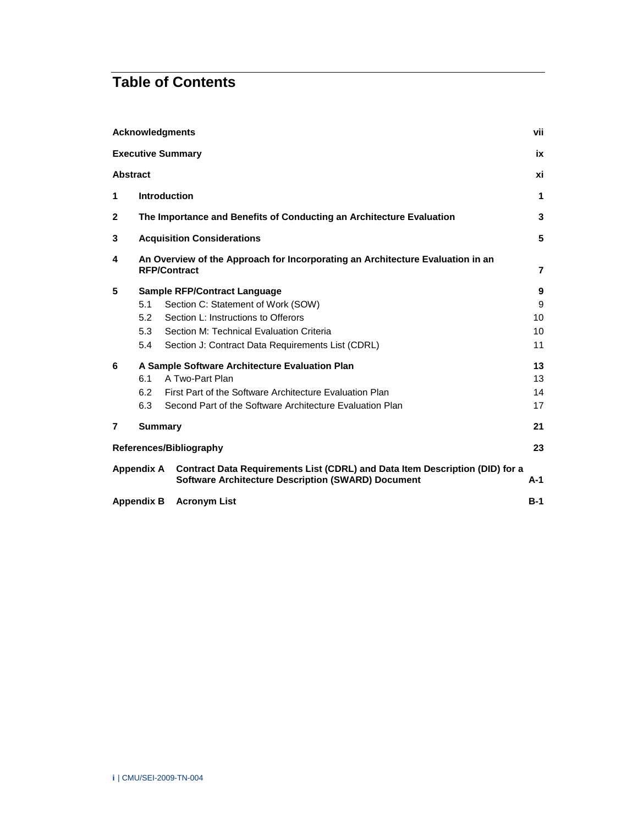## **Table of Contents**

|                   |                                                                                                       | <b>Acknowledgments</b>                                                                                                                               | vii   |
|-------------------|-------------------------------------------------------------------------------------------------------|------------------------------------------------------------------------------------------------------------------------------------------------------|-------|
|                   |                                                                                                       | <b>Executive Summary</b>                                                                                                                             | ix    |
| Abstract          |                                                                                                       |                                                                                                                                                      | хi    |
| 1                 | <b>Introduction</b>                                                                                   |                                                                                                                                                      |       |
| $\mathbf{2}$      | The Importance and Benefits of Conducting an Architecture Evaluation                                  |                                                                                                                                                      |       |
| 3                 | <b>Acquisition Considerations</b>                                                                     |                                                                                                                                                      |       |
| 4                 | An Overview of the Approach for Incorporating an Architecture Evaluation in an<br><b>RFP/Contract</b> |                                                                                                                                                      |       |
| 5                 | <b>Sample RFP/Contract Language</b>                                                                   |                                                                                                                                                      |       |
|                   | 5.1                                                                                                   | Section C: Statement of Work (SOW)                                                                                                                   | 9     |
|                   | 5.2                                                                                                   | Section L: Instructions to Offerors                                                                                                                  | 10    |
|                   | 5.3                                                                                                   | Section M: Technical Evaluation Criteria                                                                                                             | 10    |
|                   | 5.4                                                                                                   | Section J: Contract Data Requirements List (CDRL)                                                                                                    | 11    |
| 6                 |                                                                                                       | A Sample Software Architecture Evaluation Plan                                                                                                       | 13    |
|                   | 6.1                                                                                                   | A Two-Part Plan                                                                                                                                      | 13    |
|                   | 6.2                                                                                                   | First Part of the Software Architecture Evaluation Plan                                                                                              | 14    |
|                   | 6.3                                                                                                   | Second Part of the Software Architecture Evaluation Plan                                                                                             | 17    |
| $\overline{7}$    | <b>Summary</b>                                                                                        |                                                                                                                                                      | 21    |
|                   |                                                                                                       | References/Bibliography                                                                                                                              | 23    |
|                   |                                                                                                       | Appendix A Contract Data Requirements List (CDRL) and Data Item Description (DID) for a<br><b>Software Architecture Description (SWARD) Document</b> | A-1   |
| <b>Appendix B</b> |                                                                                                       | <b>Acronym List</b>                                                                                                                                  | $B-1$ |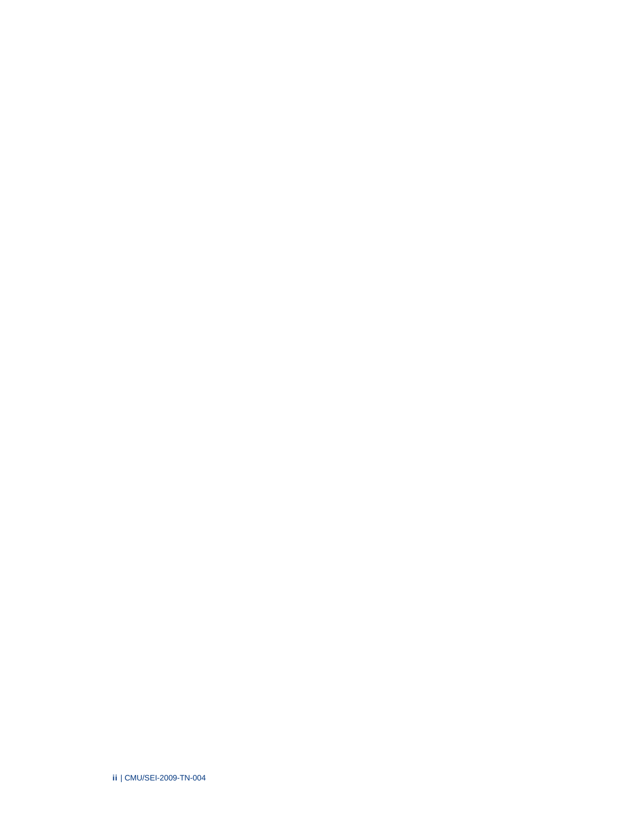ii | CMU/SEI-2009-TN-004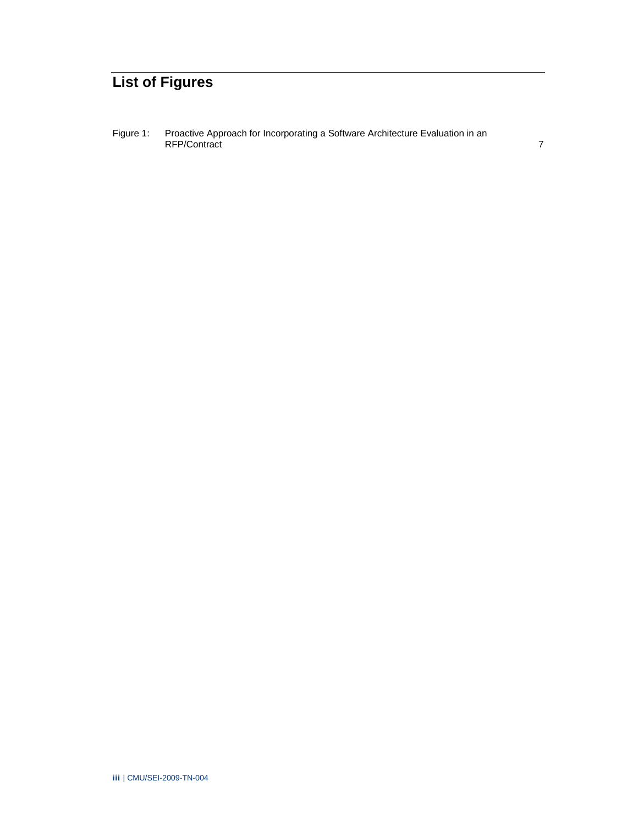## **List of Figures**

Figure 1: Proactive Approach for Incorporating a Software Architecture Evaluation in an RFP/Contract 7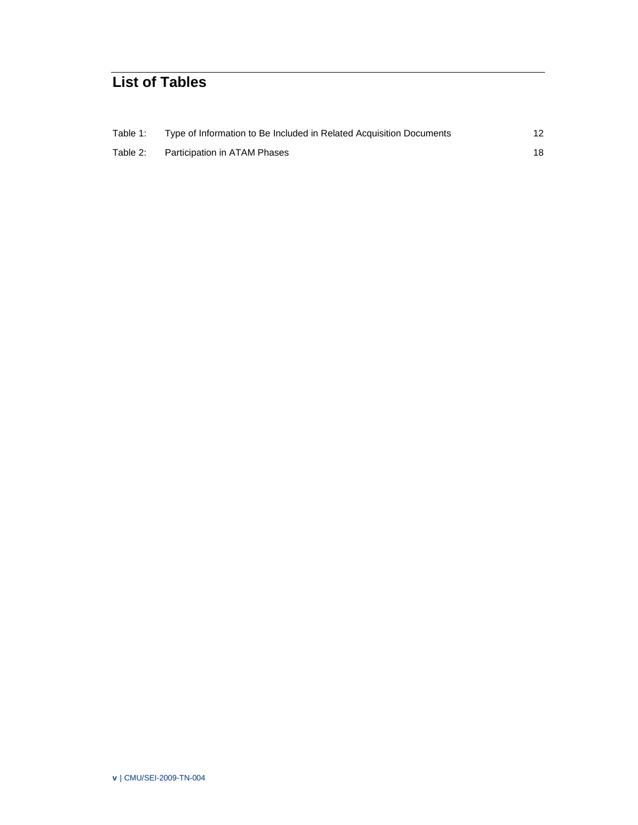## **List of Tables**

| Table 1: | Type of Information to Be Included in Related Acquisition Documents | 12 |
|----------|---------------------------------------------------------------------|----|
| Table 2: | Participation in ATAM Phases                                        | 18 |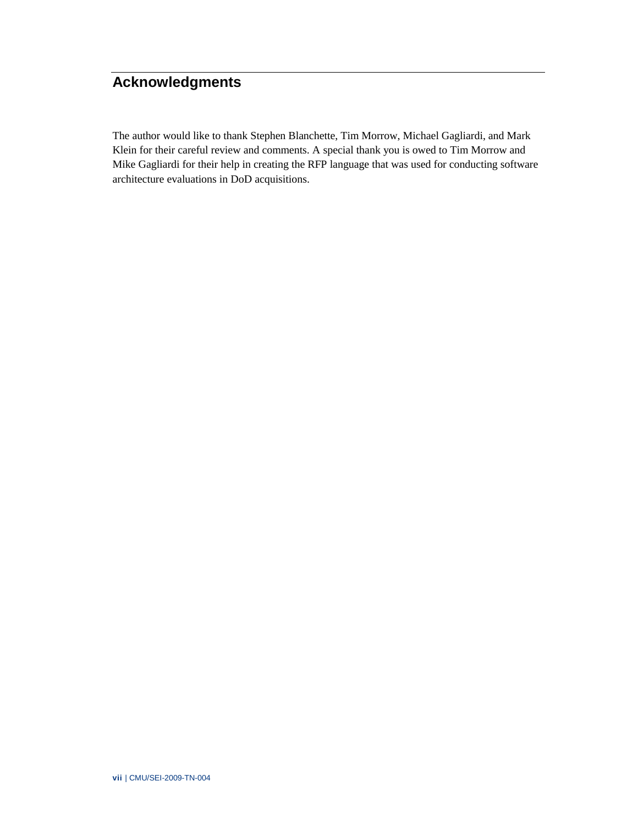## **Acknowledgments**

The author would like to thank Stephen Blanchette, Tim Morrow, Michael Gagliardi, and Mark Klein for their careful review and comments. A special thank you is owed to Tim Morrow and Mike Gagliardi for their help in creating the RFP language that was used for conducting software architecture evaluations in DoD acquisitions.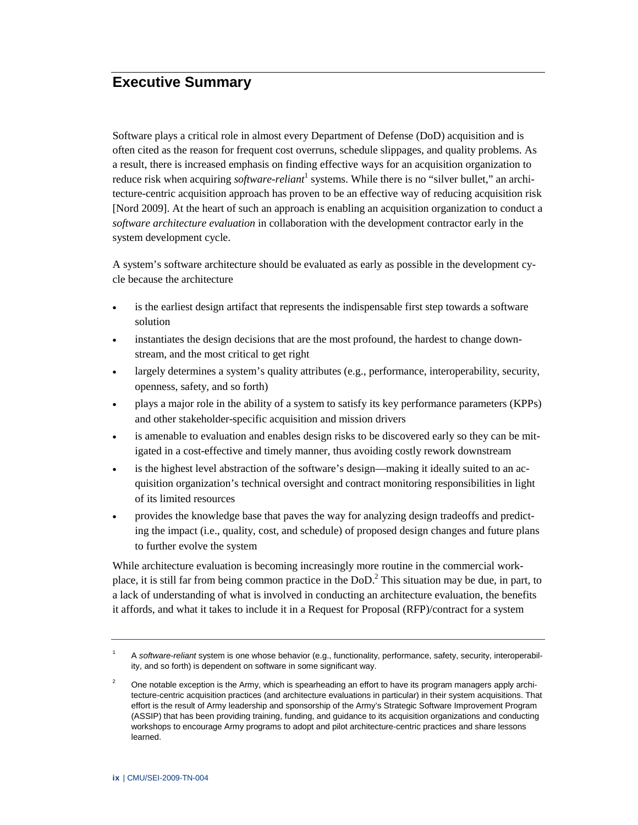## **Executive Summary**

Software plays a critical role in almost every Department of Defense (DoD) acquisition and is often cited as the reason for frequent cost overruns, schedule slippages, and quality problems. As a result, there is increased emphasis on finding effective ways for an acquisition organization to reduce risk when acquiring *software-reliant* systems. While there is no "silver bullet," an architecture-centric acquisition approach has proven to be an effective way of reducing acquisition risk [Nord 2009]. At the heart of such an approach is enabling an acquisition organization to conduct a *software architecture evaluation* in collaboration with the development contractor early in the system development cycle.

A system's software architecture should be evaluated as early as possible in the development cycle because the architecture

- is the earliest design artifact that represents the indispensable first step towards a software solution
- instantiates the design decisions that are the most profound, the hardest to change downstream, and the most critical to get right
- largely determines a system's quality attributes (e.g., performance, interoperability, security, openness, safety, and so forth)
- plays a major role in the ability of a system to satisfy its key performance parameters (KPPs) and other stakeholder-specific acquisition and mission drivers
- is amenable to evaluation and enables design risks to be discovered early so they can be mitigated in a cost-effective and timely manner, thus avoiding costly rework downstream
- is the highest level abstraction of the software's design—making it ideally suited to an acquisition organization's technical oversight and contract monitoring responsibilities in light of its limited resources
- provides the knowledge base that paves the way for analyzing design tradeoffs and predicting the impact (i.e., quality, cost, and schedule) of proposed design changes and future plans to further evolve the system

While architecture evaluation is becoming increasingly more routine in the commercial workplace, it is still far from being common practice in the  $DoD<sup>2</sup>$ . This situation may be due, in part, to a lack of understanding of what is involved in conducting an architecture evaluation, the benefits it affords, and what it takes to include it in a Request for Proposal (RFP)/contract for a system

<sup>1</sup> A *software-reliant* system is one whose behavior (e.g., functionality, performance, safety, security, interoperability, and so forth) is dependent on software in some significant way.

<sup>2</sup> One notable exception is the Army, which is spearheading an effort to have its program managers apply architecture-centric acquisition practices (and architecture evaluations in particular) in their system acquisitions. That effort is the result of Army leadership and sponsorship of the Army's Strategic Software Improvement Program (ASSIP) that has been providing training, funding, and guidance to its acquisition organizations and conducting workshops to encourage Army programs to adopt and pilot architecture-centric practices and share lessons learned.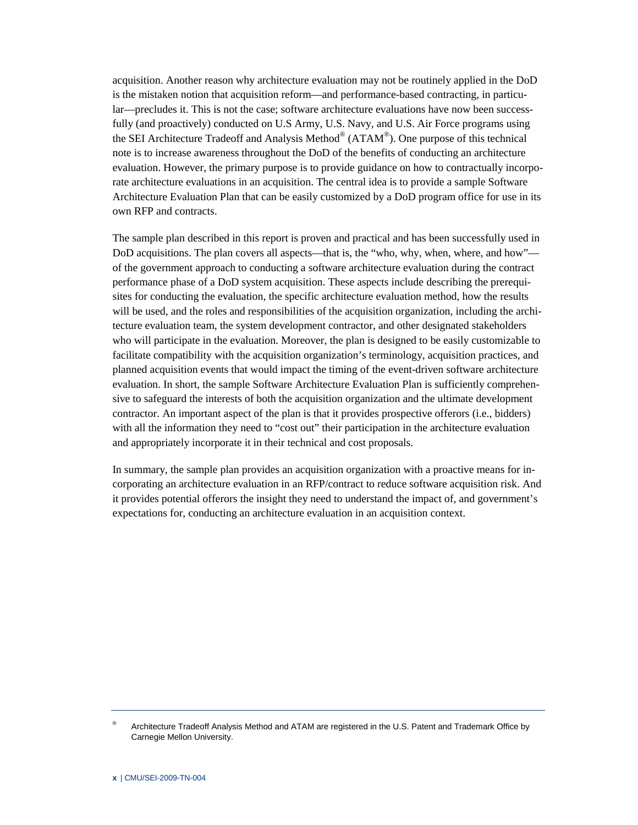acquisition. Another reason why architecture evaluation may not be routinely applied in the DoD is the mistaken notion that acquisition reform—and performance-based contracting, in particular—precludes it. This is not the case; software architecture evaluations have now been successfully (and proactively) conducted on U.S Army, U.S. Navy, and U.S. Air Force programs using the SEI Architecture Tradeoff and Analysis Method® (ATAM®). One purpose of this technical note is to increase awareness throughout the DoD of the benefits of conducting an architecture evaluation. However, the primary purpose is to provide guidance on how to contractually incorporate architecture evaluations in an acquisition. The central idea is to provide a sample Software Architecture Evaluation Plan that can be easily customized by a DoD program office for use in its own RFP and contracts.

The sample plan described in this report is proven and practical and has been successfully used in DoD acquisitions. The plan covers all aspects—that is, the "who, why, when, where, and how" of the government approach to conducting a software architecture evaluation during the contract performance phase of a DoD system acquisition. These aspects include describing the prerequisites for conducting the evaluation, the specific architecture evaluation method, how the results will be used, and the roles and responsibilities of the acquisition organization, including the architecture evaluation team, the system development contractor, and other designated stakeholders who will participate in the evaluation. Moreover, the plan is designed to be easily customizable to facilitate compatibility with the acquisition organization's terminology, acquisition practices, and planned acquisition events that would impact the timing of the event-driven software architecture evaluation. In short, the sample Software Architecture Evaluation Plan is sufficiently comprehensive to safeguard the interests of both the acquisition organization and the ultimate development contractor. An important aspect of the plan is that it provides prospective offerors (i.e., bidders) with all the information they need to "cost out" their participation in the architecture evaluation and appropriately incorporate it in their technical and cost proposals.

In summary, the sample plan provides an acquisition organization with a proactive means for incorporating an architecture evaluation in an RFP/contract to reduce software acquisition risk. And it provides potential offerors the insight they need to understand the impact of, and government's expectations for, conducting an architecture evaluation in an acquisition context.

<sup>®</sup> Architecture Tradeoff Analysis Method and ATAM are registered in the U.S. Patent and Trademark Office by Carnegie Mellon University.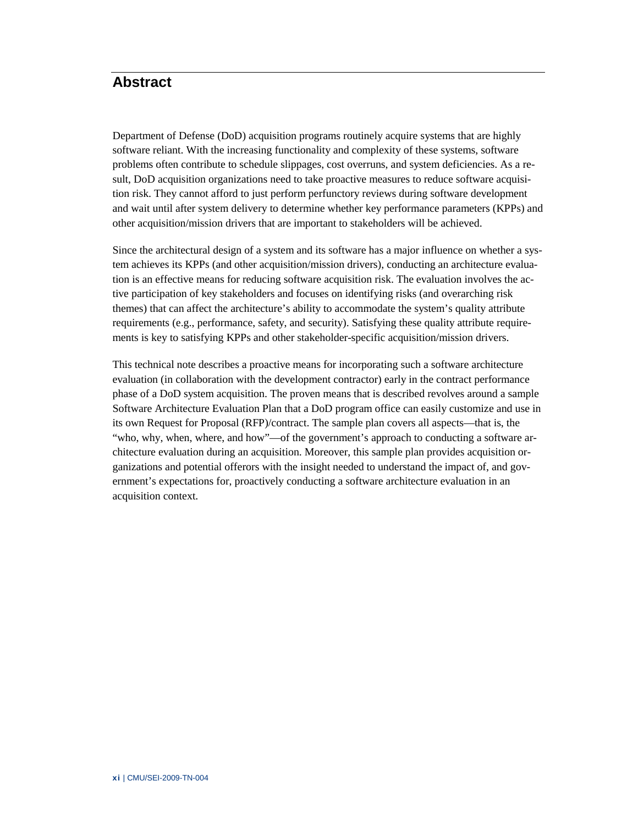### **Abstract**

Department of Defense (DoD) acquisition programs routinely acquire systems that are highly software reliant. With the increasing functionality and complexity of these systems, software problems often contribute to schedule slippages, cost overruns, and system deficiencies. As a result, DoD acquisition organizations need to take proactive measures to reduce software acquisition risk. They cannot afford to just perform perfunctory reviews during software development and wait until after system delivery to determine whether key performance parameters (KPPs) and other acquisition/mission drivers that are important to stakeholders will be achieved.

Since the architectural design of a system and its software has a major influence on whether a system achieves its KPPs (and other acquisition/mission drivers), conducting an architecture evaluation is an effective means for reducing software acquisition risk. The evaluation involves the active participation of key stakeholders and focuses on identifying risks (and overarching risk themes) that can affect the architecture's ability to accommodate the system's quality attribute requirements (e.g., performance, safety, and security). Satisfying these quality attribute requirements is key to satisfying KPPs and other stakeholder-specific acquisition/mission drivers.

This technical note describes a proactive means for incorporating such a software architecture evaluation (in collaboration with the development contractor) early in the contract performance phase of a DoD system acquisition. The proven means that is described revolves around a sample Software Architecture Evaluation Plan that a DoD program office can easily customize and use in its own Request for Proposal (RFP)/contract. The sample plan covers all aspects—that is, the "who, why, when, where, and how"—of the government's approach to conducting a software architecture evaluation during an acquisition. Moreover, this sample plan provides acquisition organizations and potential offerors with the insight needed to understand the impact of, and government's expectations for, proactively conducting a software architecture evaluation in an acquisition context.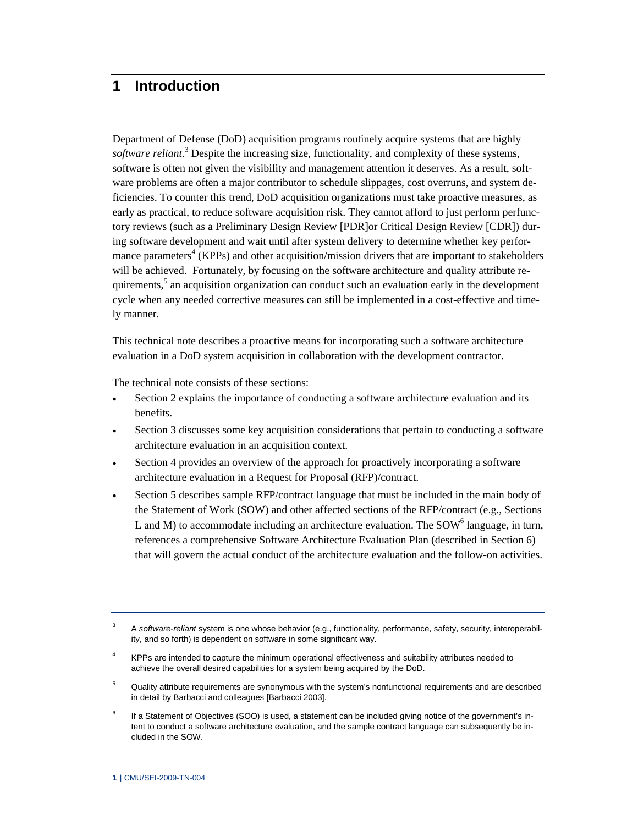### **1 Introduction**

Department of Defense (DoD) acquisition programs routinely acquire systems that are highly software reliant.<sup>3</sup> Despite the increasing size, functionality, and complexity of these systems, software is often not given the visibility and management attention it deserves. As a result, software problems are often a major contributor to schedule slippages, cost overruns, and system deficiencies. To counter this trend, DoD acquisition organizations must take proactive measures, as early as practical, to reduce software acquisition risk. They cannot afford to just perform perfunctory reviews (such as a Preliminary Design Review [PDR]or Critical Design Review [CDR]) during software development and wait until after system delivery to determine whether key performance parameters<sup>4</sup> (KPPs) and other acquisition/mission drivers that are important to stakeholders will be achieved. Fortunately, by focusing on the software architecture and quality attribute requirements,<sup>5</sup> an acquisition organization can conduct such an evaluation early in the development cycle when any needed corrective measures can still be implemented in a cost-effective and timely manner.

This technical note describes a proactive means for incorporating such a software architecture evaluation in a DoD system acquisition in collaboration with the development contractor.

The technical note consists of these sections:

- Section 2 explains the importance of conducting a software architecture evaluation and its benefits.
- Section 3 discusses some key acquisition considerations that pertain to conducting a software architecture evaluation in an acquisition context.
- Section 4 provides an overview of the approach for proactively incorporating a software architecture evaluation in a Request for Proposal (RFP)/contract.
- Section 5 describes sample RFP/contract language that must be included in the main body of the Statement of Work (SOW) and other affected sections of the RFP/contract (e.g., Sections L and M) to accommodate including an architecture evaluation. The SOW $^6$  language, in turn, references a comprehensive Software Architecture Evaluation Plan (described in Section 6) that will govern the actual conduct of the architecture evaluation and the follow-on activities.

<sup>3</sup> A *software-reliant* system is one whose behavior (e.g., functionality, performance, safety, security, interoperability, and so forth) is dependent on software in some significant way.

<sup>4</sup> KPPs are intended to capture the minimum operational effectiveness and suitability attributes needed to achieve the overall desired capabilities for a system being acquired by the DoD.

<sup>5</sup> Quality attribute requirements are synonymous with the system's nonfunctional requirements and are described in detail by Barbacci and colleagues [Barbacci 2003].

<sup>6</sup> If a Statement of Objectives (SOO) is used, a statement can be included giving notice of the government's intent to conduct a software architecture evaluation, and the sample contract language can subsequently be included in the SOW.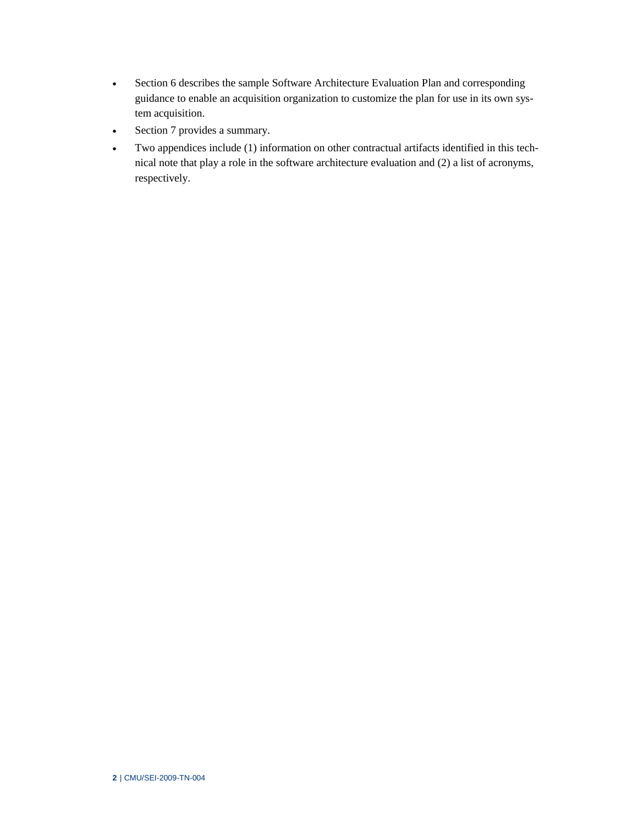- Section 6 describes the sample Software Architecture Evaluation Plan and corresponding guidance to enable an acquisition organization to customize the plan for use in its own system acquisition.
- Section 7 provides a summary.
- Two appendices include (1) information on other contractual artifacts identified in this technical note that play a role in the software architecture evaluation and (2) a list of acronyms, respectively.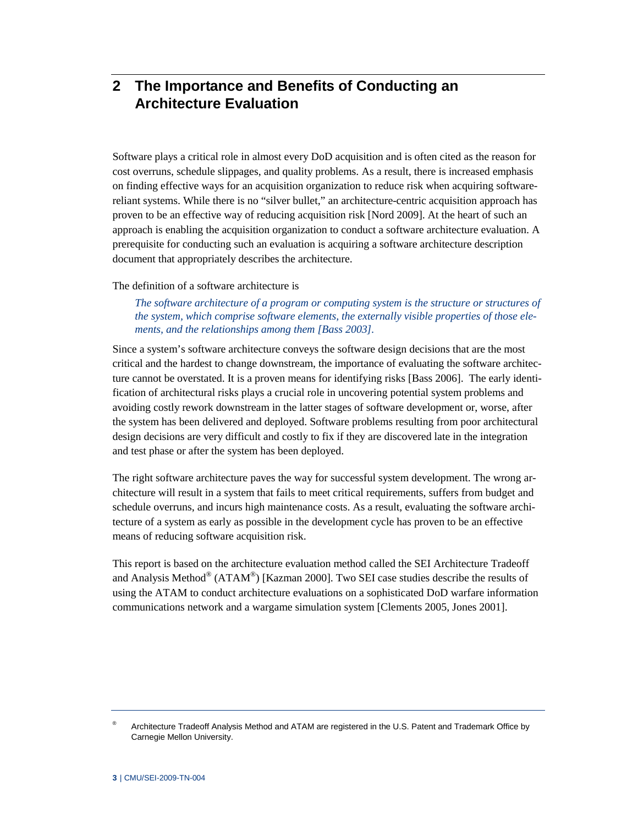## **2 The Importance and Benefits of Conducting an Architecture Evaluation**

Software plays a critical role in almost every DoD acquisition and is often cited as the reason for cost overruns, schedule slippages, and quality problems. As a result, there is increased emphasis on finding effective ways for an acquisition organization to reduce risk when acquiring softwarereliant systems. While there is no "silver bullet," an architecture-centric acquisition approach has proven to be an effective way of reducing acquisition risk [Nord 2009]. At the heart of such an approach is enabling the acquisition organization to conduct a software architecture evaluation. A prerequisite for conducting such an evaluation is acquiring a software architecture description document that appropriately describes the architecture.

The definition of a software architecture is

*The software architecture of a program or computing system is the structure or structures of the system, which comprise software elements, the externally visible properties of those elements, and the relationships among them [Bass 2003].* 

Since a system's software architecture conveys the software design decisions that are the most critical and the hardest to change downstream, the importance of evaluating the software architecture cannot be overstated. It is a proven means for identifying risks [Bass 2006]. The early identification of architectural risks plays a crucial role in uncovering potential system problems and avoiding costly rework downstream in the latter stages of software development or, worse, after the system has been delivered and deployed. Software problems resulting from poor architectural design decisions are very difficult and costly to fix if they are discovered late in the integration and test phase or after the system has been deployed.

The right software architecture paves the way for successful system development. The wrong architecture will result in a system that fails to meet critical requirements, suffers from budget and schedule overruns, and incurs high maintenance costs. As a result, evaluating the software architecture of a system as early as possible in the development cycle has proven to be an effective means of reducing software acquisition risk.

This report is based on the architecture evaluation method called the SEI Architecture Tradeoff and Analysis Method® (ATAM®) [Kazman 2000]. Two SEI case studies describe the results of using the ATAM to conduct architecture evaluations on a sophisticated DoD warfare information communications network and a wargame simulation system [Clements 2005, Jones 2001].

<sup>®</sup> Architecture Tradeoff Analysis Method and ATAM are registered in the U.S. Patent and Trademark Office by Carnegie Mellon University.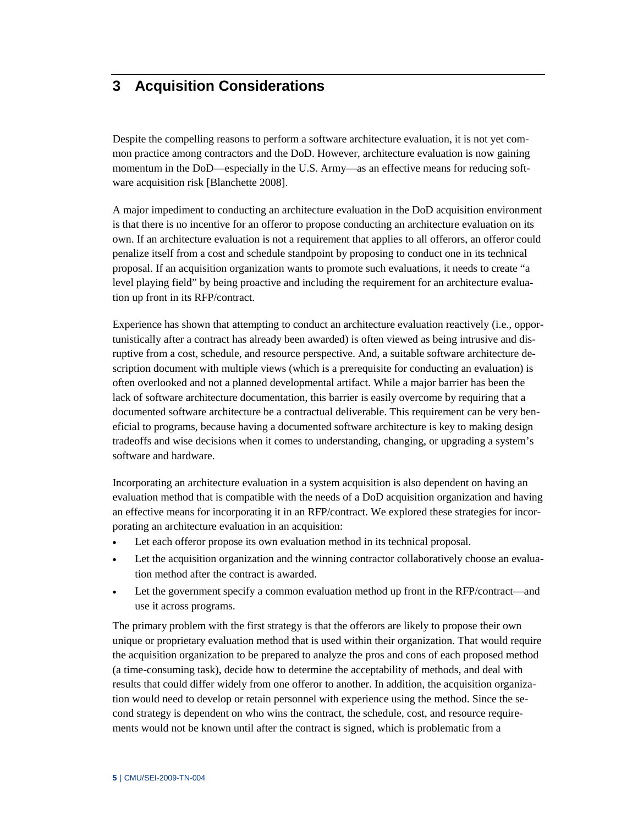## **3 Acquisition Considerations**

Despite the compelling reasons to perform a software architecture evaluation, it is not yet common practice among contractors and the DoD. However, architecture evaluation is now gaining momentum in the DoD—especially in the U.S. Army—as an effective means for reducing software acquisition risk [Blanchette 2008].

A major impediment to conducting an architecture evaluation in the DoD acquisition environment is that there is no incentive for an offeror to propose conducting an architecture evaluation on its own. If an architecture evaluation is not a requirement that applies to all offerors, an offeror could penalize itself from a cost and schedule standpoint by proposing to conduct one in its technical proposal. If an acquisition organization wants to promote such evaluations, it needs to create "a level playing field" by being proactive and including the requirement for an architecture evaluation up front in its RFP/contract.

Experience has shown that attempting to conduct an architecture evaluation reactively (i.e., opportunistically after a contract has already been awarded) is often viewed as being intrusive and disruptive from a cost, schedule, and resource perspective. And, a suitable software architecture description document with multiple views (which is a prerequisite for conducting an evaluation) is often overlooked and not a planned developmental artifact. While a major barrier has been the lack of software architecture documentation, this barrier is easily overcome by requiring that a documented software architecture be a contractual deliverable. This requirement can be very beneficial to programs, because having a documented software architecture is key to making design tradeoffs and wise decisions when it comes to understanding, changing, or upgrading a system's software and hardware.

Incorporating an architecture evaluation in a system acquisition is also dependent on having an evaluation method that is compatible with the needs of a DoD acquisition organization and having an effective means for incorporating it in an RFP/contract. We explored these strategies for incorporating an architecture evaluation in an acquisition:

- Let each offeror propose its own evaluation method in its technical proposal.
- Let the acquisition organization and the winning contractor collaboratively choose an evaluation method after the contract is awarded.
- Let the government specify a common evaluation method up front in the RFP/contract—and use it across programs.

The primary problem with the first strategy is that the offerors are likely to propose their own unique or proprietary evaluation method that is used within their organization. That would require the acquisition organization to be prepared to analyze the pros and cons of each proposed method (a time-consuming task), decide how to determine the acceptability of methods, and deal with results that could differ widely from one offeror to another. In addition, the acquisition organization would need to develop or retain personnel with experience using the method. Since the second strategy is dependent on who wins the contract, the schedule, cost, and resource requirements would not be known until after the contract is signed, which is problematic from a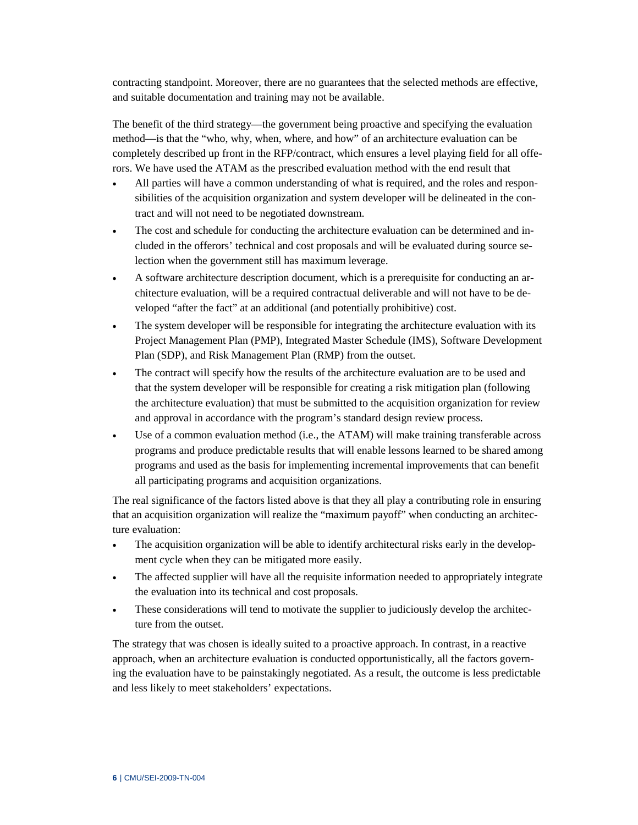contracting standpoint. Moreover, there are no guarantees that the selected methods are effective, and suitable documentation and training may not be available.

The benefit of the third strategy—the government being proactive and specifying the evaluation method—is that the "who, why, when, where, and how" of an architecture evaluation can be completely described up front in the RFP/contract, which ensures a level playing field for all offerors. We have used the ATAM as the prescribed evaluation method with the end result that

- All parties will have a common understanding of what is required, and the roles and responsibilities of the acquisition organization and system developer will be delineated in the contract and will not need to be negotiated downstream.
- The cost and schedule for conducting the architecture evaluation can be determined and included in the offerors' technical and cost proposals and will be evaluated during source selection when the government still has maximum leverage.
- A software architecture description document, which is a prerequisite for conducting an architecture evaluation, will be a required contractual deliverable and will not have to be developed "after the fact" at an additional (and potentially prohibitive) cost.
- The system developer will be responsible for integrating the architecture evaluation with its Project Management Plan (PMP), Integrated Master Schedule (IMS), Software Development Plan (SDP), and Risk Management Plan (RMP) from the outset.
- The contract will specify how the results of the architecture evaluation are to be used and that the system developer will be responsible for creating a risk mitigation plan (following the architecture evaluation) that must be submitted to the acquisition organization for review and approval in accordance with the program's standard design review process.
- Use of a common evaluation method (i.e., the ATAM) will make training transferable across programs and produce predictable results that will enable lessons learned to be shared among programs and used as the basis for implementing incremental improvements that can benefit all participating programs and acquisition organizations.

The real significance of the factors listed above is that they all play a contributing role in ensuring that an acquisition organization will realize the "maximum payoff" when conducting an architecture evaluation:

- The acquisition organization will be able to identify architectural risks early in the development cycle when they can be mitigated more easily.
- The affected supplier will have all the requisite information needed to appropriately integrate the evaluation into its technical and cost proposals.
- These considerations will tend to motivate the supplier to judiciously develop the architecture from the outset.

The strategy that was chosen is ideally suited to a proactive approach. In contrast, in a reactive approach, when an architecture evaluation is conducted opportunistically, all the factors governing the evaluation have to be painstakingly negotiated. As a result, the outcome is less predictable and less likely to meet stakeholders' expectations.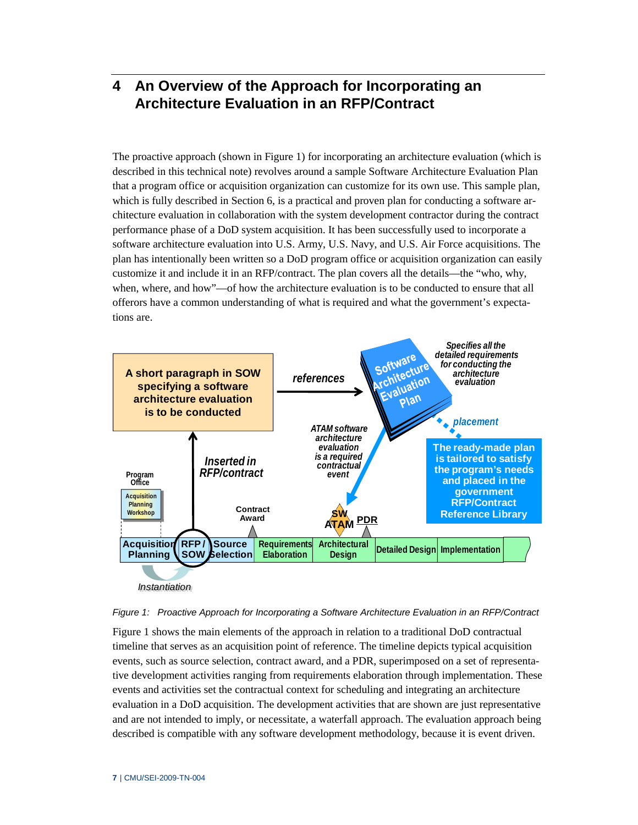### **4 An Overview of the Approach for Incorporating an Architecture Evaluation in an RFP/Contract**

The proactive approach (shown in Figure 1) for incorporating an architecture evaluation (which is described in this technical note) revolves around a sample Software Architecture Evaluation Plan that a program office or acquisition organization can customize for its own use. This sample plan, which is fully described in Section 6, is a practical and proven plan for conducting a software architecture evaluation in collaboration with the system development contractor during the contract performance phase of a DoD system acquisition. It has been successfully used to incorporate a software architecture evaluation into U.S. Army, U.S. Navy, and U.S. Air Force acquisitions. The plan has intentionally been written so a DoD program office or acquisition organization can easily customize it and include it in an RFP/contract. The plan covers all the details—the "who, why, when, where, and how"—of how the architecture evaluation is to be conducted to ensure that all offerors have a common understanding of what is required and what the government's expectations are.



*Figure 1: Proactive Approach for Incorporating a Software Architecture Evaluation in an RFP/Contract* 

Figure 1 shows the main elements of the approach in relation to a traditional DoD contractual timeline that serves as an acquisition point of reference. The timeline depicts typical acquisition events, such as source selection, contract award, and a PDR, superimposed on a set of representative development activities ranging from requirements elaboration through implementation. These events and activities set the contractual context for scheduling and integrating an architecture evaluation in a DoD acquisition. The development activities that are shown are just representative and are not intended to imply, or necessitate, a waterfall approach. The evaluation approach being described is compatible with any software development methodology, because it is event driven.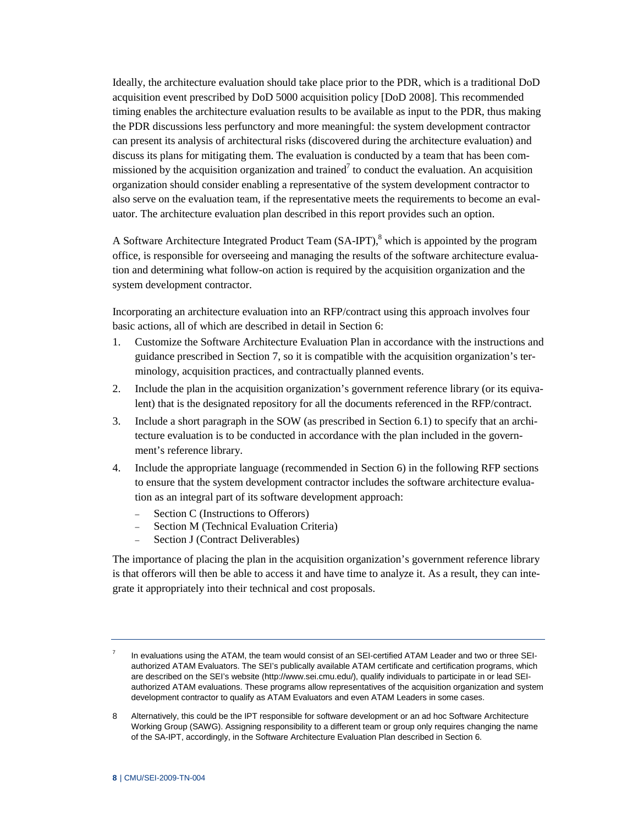Ideally, the architecture evaluation should take place prior to the PDR, which is a traditional DoD acquisition event prescribed by DoD 5000 acquisition policy [DoD 2008]. This recommended timing enables the architecture evaluation results to be available as input to the PDR, thus making the PDR discussions less perfunctory and more meaningful: the system development contractor can present its analysis of architectural risks (discovered during the architecture evaluation) and discuss its plans for mitigating them. The evaluation is conducted by a team that has been commissioned by the acquisition organization and trained<sup>7</sup> to conduct the evaluation. An acquisition organization should consider enabling a representative of the system development contractor to also serve on the evaluation team, if the representative meets the requirements to become an evaluator. The architecture evaluation plan described in this report provides such an option.

A Software Architecture Integrated Product Team (SA-IPT),<sup>8</sup> which is appointed by the program office, is responsible for overseeing and managing the results of the software architecture evaluation and determining what follow-on action is required by the acquisition organization and the system development contractor.

Incorporating an architecture evaluation into an RFP/contract using this approach involves four basic actions, all of which are described in detail in Section 6:

- 1. Customize the Software Architecture Evaluation Plan in accordance with the instructions and guidance prescribed in Section 7, so it is compatible with the acquisition organization's terminology, acquisition practices, and contractually planned events.
- 2. Include the plan in the acquisition organization's government reference library (or its equivalent) that is the designated repository for all the documents referenced in the RFP/contract.
- 3. Include a short paragraph in the SOW (as prescribed in Section 6.1) to specify that an architecture evaluation is to be conducted in accordance with the plan included in the government's reference library.
- 4. Include the appropriate language (recommended in Section 6) in the following RFP sections to ensure that the system development contractor includes the software architecture evaluation as an integral part of its software development approach:
	- − Section C (Instructions to Offerors)
	- − Section M (Technical Evaluation Criteria)
	- Section J (Contract Deliverables)

The importance of placing the plan in the acquisition organization's government reference library is that offerors will then be able to access it and have time to analyze it. As a result, they can integrate it appropriately into their technical and cost proposals.

<sup>7</sup> In evaluations using the ATAM, the team would consist of an SEI-certified ATAM Leader and two or three SEIauthorized ATAM Evaluators. The SEI's publically available ATAM certificate and certification programs, which are described on the SEI's website [\(http://www.sei.cmu.edu/\), qu](http://www.sei.cmu.edu/)alify individuals to participate in or lead SEIauthorized ATAM evaluations. These programs allow representatives of the acquisition organization and system development contractor to qualify as ATAM Evaluators and even ATAM Leaders in some cases.

<sup>8</sup> Alternatively, this could be the IPT responsible for software development or an ad hoc Software Architecture Working Group (SAWG). Assigning responsibility to a different team or group only requires changing the name of the SA-IPT, accordingly, in the Software Architecture Evaluation Plan described in Section 6.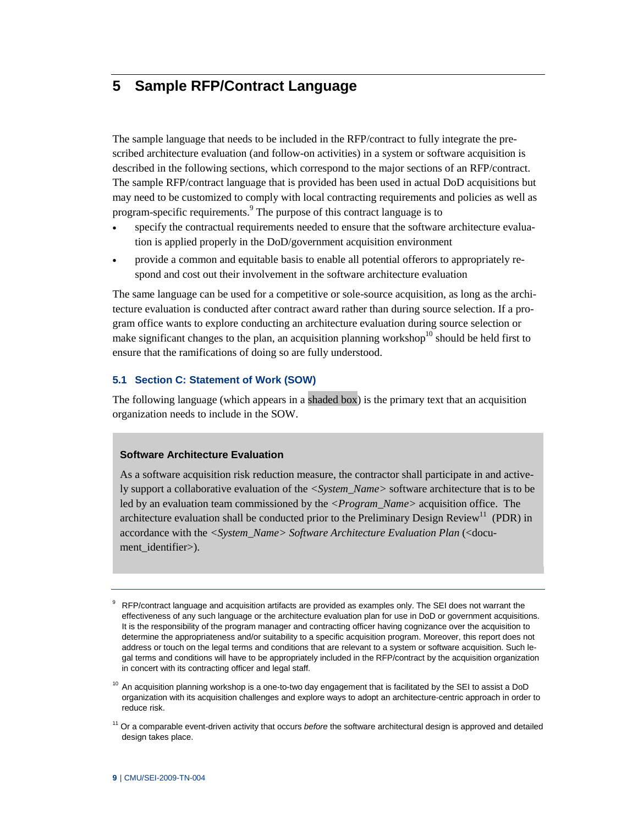## **5 Sample RFP/Contract Language**

The sample language that needs to be included in the RFP/contract to fully integrate the prescribed architecture evaluation (and follow-on activities) in a system or software acquisition is described in the following sections, which correspond to the major sections of an RFP/contract. The sample RFP/contract language that is provided has been used in actual DoD acquisitions but may need to be customized to comply with local contracting requirements and policies as well as program-specific requirements.<sup>9</sup> The purpose of this contract language is to

- specify the contractual requirements needed to ensure that the software architecture evaluation is applied properly in the DoD/government acquisition environment
- provide a common and equitable basis to enable all potential offerors to appropriately respond and cost out their involvement in the software architecture evaluation

The same language can be used for a competitive or sole-source acquisition, as long as the architecture evaluation is conducted after contract award rather than during source selection. If a program office wants to explore conducting an architecture evaluation during source selection or make significant changes to the plan, an acquisition planning workshop<sup>10</sup> should be held first to ensure that the ramifications of doing so are fully understood.

#### **5.1 Section C: Statement of Work (SOW)**

The following language (which appears in a shaded box) is the primary text that an acquisition organization needs to include in the SOW.

#### **Software Architecture Evaluation**

As a software acquisition risk reduction measure, the contractor shall participate in and actively support a collaborative evaluation of the *<System\_Name>* software architecture that is to be led by an evaluation team commissioned by the *<Program\_Name>* acquisition office. The architecture evaluation shall be conducted prior to the Preliminary Design Review<sup>11</sup> (PDR) in accordance with the *<System\_Name> Software Architecture Evaluation Plan* (<document identifier>).

- $10$  An acquisition planning workshop is a one-to-two day engagement that is facilitated by the SEI to assist a DoD organization with its acquisition challenges and explore ways to adopt an architecture-centric approach in order to reduce risk.
- 11 Or a comparable event-driven activity that occurs *before* the software architectural design is approved and detailed design takes place.

<sup>9</sup> RFP/contract language and acquisition artifacts are provided as examples only. The SEI does not warrant the effectiveness of any such language or the architecture evaluation plan for use in DoD or government acquisitions. It is the responsibility of the program manager and contracting officer having cognizance over the acquisition to determine the appropriateness and/or suitability to a specific acquisition program. Moreover, this report does not address or touch on the legal terms and conditions that are relevant to a system or software acquisition. Such legal terms and conditions will have to be appropriately included in the RFP/contract by the acquisition organization in concert with its contracting officer and legal staff.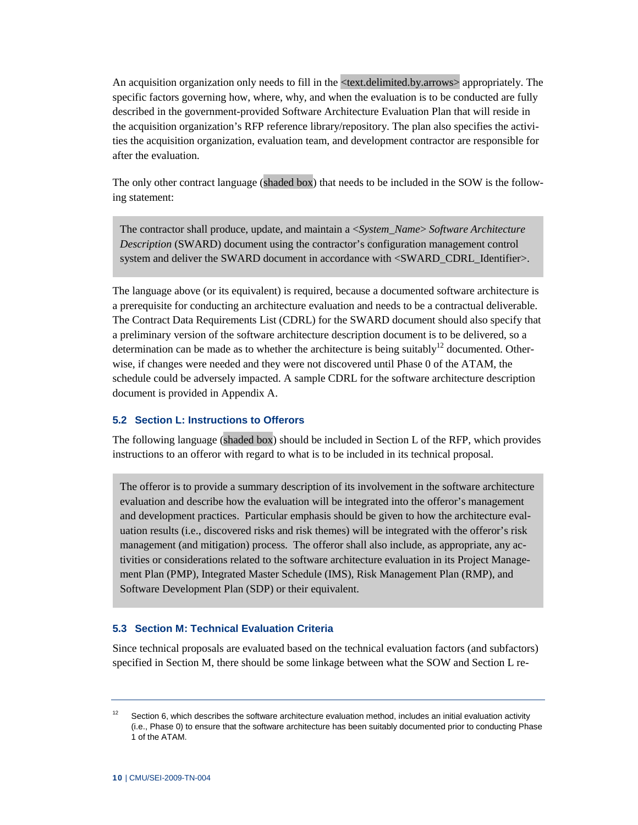An acquisition organization only needs to fill in the <text.delimited.by.arrows> appropriately. The specific factors governing how, where, why, and when the evaluation is to be conducted are fully described in the government-provided Software Architecture Evaluation Plan that will reside in the acquisition organization's RFP reference library/repository. The plan also specifies the activities the acquisition organization, evaluation team, and development contractor are responsible for after the evaluation.

The only other contract language (shaded box) that needs to be included in the SOW is the following statement:

The contractor shall produce, update, and maintain a <*System\_Name*> *Software Architecture Description* (SWARD) document using the contractor's configuration management control system and deliver the SWARD document in accordance with <SWARD\_CDRL\_Identifier>.

The language above (or its equivalent) is required, because a documented software architecture is a prerequisite for conducting an architecture evaluation and needs to be a contractual deliverable. The Contract Data Requirements List (CDRL) for the SWARD document should also specify that a preliminary version of the software architecture description document is to be delivered, so a determination can be made as to whether the architecture is being suitably<sup>12</sup> documented. Otherwise, if changes were needed and they were not discovered until Phase 0 of the ATAM, the schedule could be adversely impacted. A sample CDRL for the software architecture description document is provided in Appendix A.

#### **5.2 Section L: Instructions to Offerors**

The following language (shaded box) should be included in Section L of the RFP, which provides instructions to an offeror with regard to what is to be included in its technical proposal.

The offeror is to provide a summary description of its involvement in the software architecture evaluation and describe how the evaluation will be integrated into the offeror's management and development practices. Particular emphasis should be given to how the architecture evaluation results (i.e., discovered risks and risk themes) will be integrated with the offeror's risk management (and mitigation) process. The offeror shall also include, as appropriate, any activities or considerations related to the software architecture evaluation in its Project Management Plan (PMP), Integrated Master Schedule (IMS), Risk Management Plan (RMP), and Software Development Plan (SDP) or their equivalent.

#### **5.3 Section M: Technical Evaluation Criteria**

Since technical proposals are evaluated based on the technical evaluation factors (and subfactors) specified in Section M, there should be some linkage between what the SOW and Section L re-

 $12$  Section 6, which describes the software architecture evaluation method, includes an initial evaluation activity (i.e., Phase 0) to ensure that the software architecture has been suitably documented prior to conducting Phase 1 of the ATAM.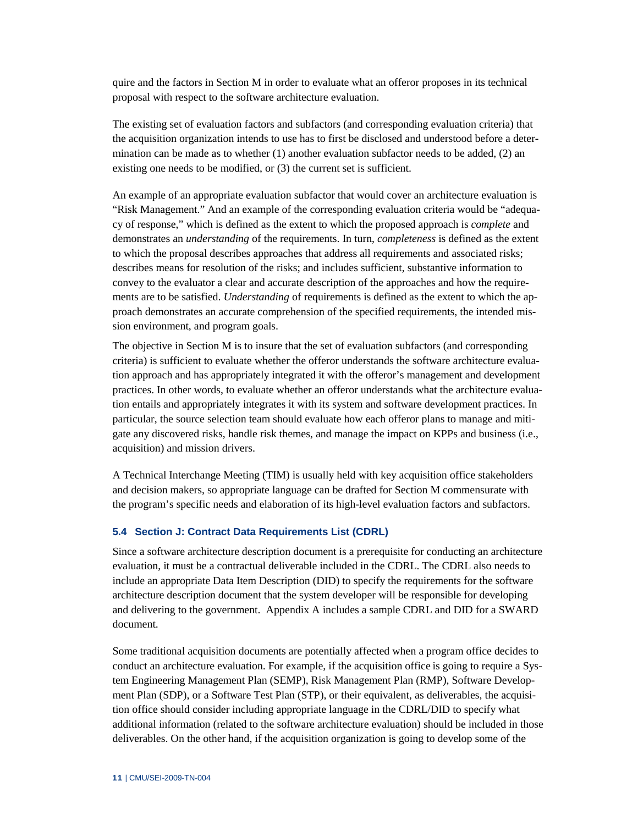quire and the factors in Section M in order to evaluate what an offeror proposes in its technical proposal with respect to the software architecture evaluation.

The existing set of evaluation factors and subfactors (and corresponding evaluation criteria) that the acquisition organization intends to use has to first be disclosed and understood before a determination can be made as to whether  $(1)$  another evaluation subfactor needs to be added,  $(2)$  an existing one needs to be modified, or (3) the current set is sufficient.

An example of an appropriate evaluation subfactor that would cover an architecture evaluation is "Risk Management." And an example of the corresponding evaluation criteria would be "adequacy of response," which is defined as the extent to which the proposed approach is *complete* and demonstrates an *understanding* of the requirements. In turn, *completeness* is defined as the extent to which the proposal describes approaches that address all requirements and associated risks; describes means for resolution of the risks; and includes sufficient, substantive information to convey to the evaluator a clear and accurate description of the approaches and how the requirements are to be satisfied. *Understanding* of requirements is defined as the extent to which the approach demonstrates an accurate comprehension of the specified requirements, the intended mission environment, and program goals.

The objective in Section M is to insure that the set of evaluation subfactors (and corresponding criteria) is sufficient to evaluate whether the offeror understands the software architecture evaluation approach and has appropriately integrated it with the offeror's management and development practices. In other words, to evaluate whether an offeror understands what the architecture evaluation entails and appropriately integrates it with its system and software development practices. In particular, the source selection team should evaluate how each offeror plans to manage and mitigate any discovered risks, handle risk themes, and manage the impact on KPPs and business (i.e., acquisition) and mission drivers.

A Technical Interchange Meeting (TIM) is usually held with key acquisition office stakeholders and decision makers, so appropriate language can be drafted for Section M commensurate with the program's specific needs and elaboration of its high-level evaluation factors and subfactors.

#### **5.4 Section J: Contract Data Requirements List (CDRL)**

Since a software architecture description document is a prerequisite for conducting an architecture evaluation, it must be a contractual deliverable included in the CDRL. The CDRL also needs to include an appropriate Data Item Description (DID) to specify the requirements for the software architecture description document that the system developer will be responsible for developing and delivering to the government. Appendix A includes a sample CDRL and DID for a SWARD document.

Some traditional acquisition documents are potentially affected when a program office decides to conduct an architecture evaluation. For example, if the acquisition office is going to require a System Engineering Management Plan (SEMP), Risk Management Plan (RMP), Software Development Plan (SDP), or a Software Test Plan (STP), or their equivalent, as deliverables, the acquisition office should consider including appropriate language in the CDRL/DID to specify what additional information (related to the software architecture evaluation) should be included in those deliverables. On the other hand, if the acquisition organization is going to develop some of the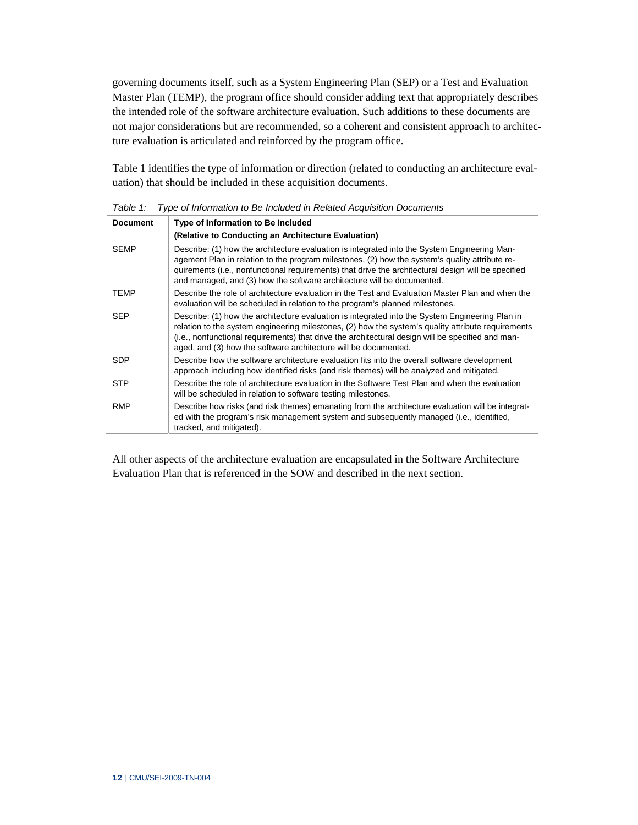governing documents itself, such as a System Engineering Plan (SEP) or a Test and Evaluation Master Plan (TEMP), the program office should consider adding text that appropriately describes the intended role of the software architecture evaluation. Such additions to these documents are not major considerations but are recommended, so a coherent and consistent approach to architecture evaluation is articulated and reinforced by the program office.

Table 1 identifies the type of information or direction (related to conducting an architecture evaluation) that should be included in these acquisition documents.

| <b>Document</b> | Type of Information to Be Included                                                                                                                                                                                                                                                                                                                                              |  |  |
|-----------------|---------------------------------------------------------------------------------------------------------------------------------------------------------------------------------------------------------------------------------------------------------------------------------------------------------------------------------------------------------------------------------|--|--|
|                 | (Relative to Conducting an Architecture Evaluation)                                                                                                                                                                                                                                                                                                                             |  |  |
| <b>SEMP</b>     | Describe: (1) how the architecture evaluation is integrated into the System Engineering Man-<br>agement Plan in relation to the program milestones, (2) how the system's quality attribute re-<br>quirements (i.e., nonfunctional requirements) that drive the architectural design will be specified<br>and managed, and (3) how the software architecture will be documented. |  |  |
| <b>TEMP</b>     | Describe the role of architecture evaluation in the Test and Evaluation Master Plan and when the<br>evaluation will be scheduled in relation to the program's planned milestones.                                                                                                                                                                                               |  |  |
| <b>SEP</b>      | Describe: (1) how the architecture evaluation is integrated into the System Engineering Plan in<br>relation to the system engineering milestones, (2) how the system's quality attribute requirements<br>(i.e., nonfunctional requirements) that drive the architectural design will be specified and man-<br>aged, and (3) how the software architecture will be documented.   |  |  |
| <b>SDP</b>      | Describe how the software architecture evaluation fits into the overall software development<br>approach including how identified risks (and risk themes) will be analyzed and mitigated.                                                                                                                                                                                       |  |  |
| <b>STP</b>      | Describe the role of architecture evaluation in the Software Test Plan and when the evaluation<br>will be scheduled in relation to software testing milestones.                                                                                                                                                                                                                 |  |  |
| <b>RMP</b>      | Describe how risks (and risk themes) emanating from the architecture evaluation will be integrat-<br>ed with the program's risk management system and subsequently managed (i.e., identified,<br>tracked, and mitigated).                                                                                                                                                       |  |  |

*Table 1: Type of Information to Be Included in Related Acquisition Documents* 

All other aspects of the architecture evaluation are encapsulated in the Software Architecture Evaluation Plan that is referenced in the SOW and described in the next section.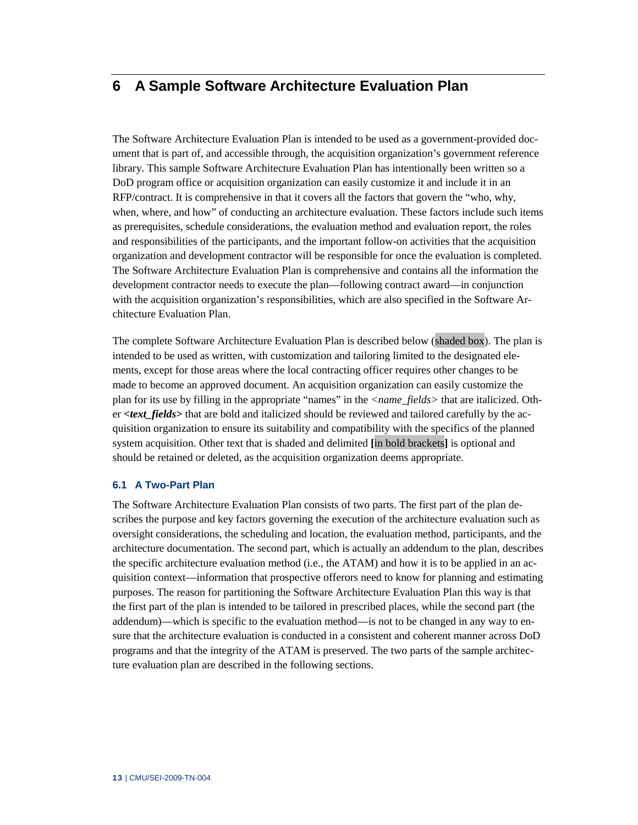### **6 A Sample Software Architecture Evaluation Plan**

The Software Architecture Evaluation Plan is intended to be used as a government-provided document that is part of, and accessible through, the acquisition organization's government reference library. This sample Software Architecture Evaluation Plan has intentionally been written so a DoD program office or acquisition organization can easily customize it and include it in an RFP/contract. It is comprehensive in that it covers all the factors that govern the "who, why, when, where, and how" of conducting an architecture evaluation. These factors include such items as prerequisites, schedule considerations, the evaluation method and evaluation report, the roles and responsibilities of the participants, and the important follow-on activities that the acquisition organization and development contractor will be responsible for once the evaluation is completed. The Software Architecture Evaluation Plan is comprehensive and contains all the information the development contractor needs to execute the plan—following contract award—in conjunction with the acquisition organization's responsibilities, which are also specified in the Software Architecture Evaluation Plan.

The complete Software Architecture Evaluation Plan is described below (shaded box). The plan is intended to be used as written, with customization and tailoring limited to the designated elements, except for those areas where the local contracting officer requires other changes to be made to become an approved document. An acquisition organization can easily customize the plan for its use by filling in the appropriate "names" in the *<name\_fields>* that are italicized. Other *<text\_fields>* that are bold and italicized should be reviewed and tailored carefully by the acquisition organization to ensure its suitability and compatibility with the specifics of the planned system acquisition. Other text that is shaded and delimited **[**in bold brackets**]** is optional and should be retained or deleted, as the acquisition organization deems appropriate.

#### **6.1 A Two-Part Plan**

The Software Architecture Evaluation Plan consists of two parts. The first part of the plan describes the purpose and key factors governing the execution of the architecture evaluation such as oversight considerations, the scheduling and location, the evaluation method, participants, and the architecture documentation. The second part, which is actually an addendum to the plan, describes the specific architecture evaluation method (i.e., the ATAM) and how it is to be applied in an acquisition context—information that prospective offerors need to know for planning and estimating purposes. The reason for partitioning the Software Architecture Evaluation Plan this way is that the first part of the plan is intended to be tailored in prescribed places, while the second part (the addendum)—which is specific to the evaluation method—is not to be changed in any way to ensure that the architecture evaluation is conducted in a consistent and coherent manner across DoD programs and that the integrity of the ATAM is preserved. The two parts of the sample architecture evaluation plan are described in the following sections.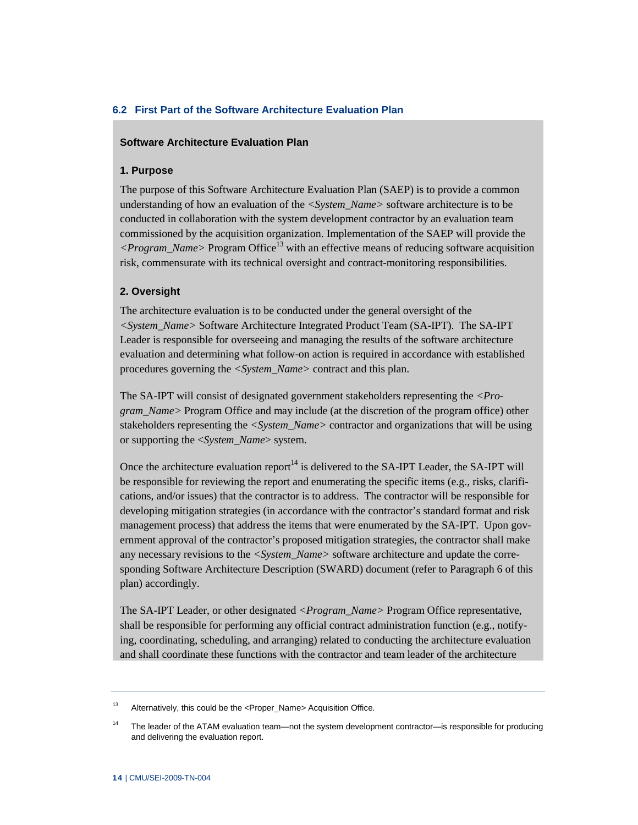#### **6.2 First Part of the Software Architecture Evaluation Plan**

#### **Software Architecture Evaluation Plan**

#### **1. Purpose**

The purpose of this Software Architecture Evaluation Plan (SAEP) is to provide a common understanding of how an evaluation of the *<System\_Name>* software architecture is to be conducted in collaboration with the system development contractor by an evaluation team commissioned by the acquisition organization. Implementation of the SAEP will provide the *<Program\_Name>* Program Office13 with an effective means of reducing software acquisition risk, commensurate with its technical oversight and contract-monitoring responsibilities.

#### **2. Oversight**

The architecture evaluation is to be conducted under the general oversight of the *<System\_Name>* Software Architecture Integrated Product Team (SA-IPT). The SA-IPT Leader is responsible for overseeing and managing the results of the software architecture evaluation and determining what follow-on action is required in accordance with established procedures governing the *<System\_Name>* contract and this plan.

The SA-IPT will consist of designated government stakeholders representing the *<Program\_Name>* Program Office and may include (at the discretion of the program office) other stakeholders representing the *<System\_Name>* contractor and organizations that will be using or supporting the <*System\_Name*> system.

Once the architecture evaluation report<sup> $14$ </sup> is delivered to the SA-IPT Leader, the SA-IPT will be responsible for reviewing the report and enumerating the specific items (e.g., risks, clarifications, and/or issues) that the contractor is to address. The contractor will be responsible for developing mitigation strategies (in accordance with the contractor's standard format and risk management process) that address the items that were enumerated by the SA-IPT. Upon government approval of the contractor's proposed mitigation strategies, the contractor shall make any necessary revisions to the *<System\_Name>* software architecture and update the corresponding Software Architecture Description (SWARD) document (refer to Paragraph 6 of this plan) accordingly.

The SA-IPT Leader, or other designated *<Program\_Name>* Program Office representative, shall be responsible for performing any official contract administration function (e.g., notifying, coordinating, scheduling, and arranging) related to conducting the architecture evaluation and shall coordinate these functions with the contractor and team leader of the architecture

<sup>13</sup> Alternatively, this could be the <Proper\_Name> Acquisition Office.

<sup>&</sup>lt;sup>14</sup> The leader of the ATAM evaluation team—not the system development contractor—is responsible for producing and delivering the evaluation report.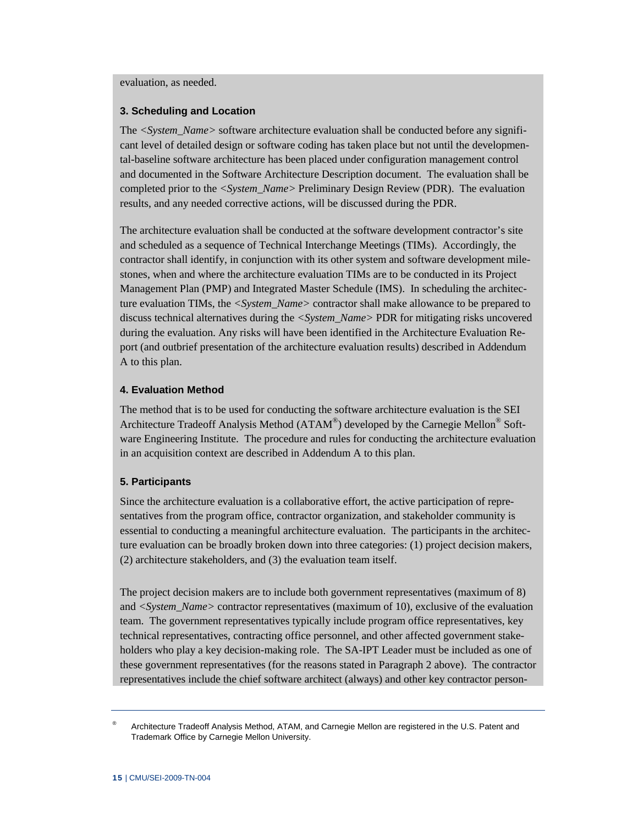evaluation, as needed.

#### **3. Scheduling and Location**

The *<System\_Name>* software architecture evaluation shall be conducted before any significant level of detailed design or software coding has taken place but not until the developmental-baseline software architecture has been placed under configuration management control and documented in the Software Architecture Description document. The evaluation shall be completed prior to the *<System\_Name>* Preliminary Design Review (PDR). The evaluation results, and any needed corrective actions, will be discussed during the PDR.

The architecture evaluation shall be conducted at the software development contractor's site and scheduled as a sequence of Technical Interchange Meetings (TIMs). Accordingly, the contractor shall identify, in conjunction with its other system and software development milestones, when and where the architecture evaluation TIMs are to be conducted in its Project Management Plan (PMP) and Integrated Master Schedule (IMS). In scheduling the architecture evaluation TIMs, the *<System\_Name>* contractor shall make allowance to be prepared to discuss technical alternatives during the *<System\_Name>* PDR for mitigating risks uncovered during the evaluation. Any risks will have been identified in the Architecture Evaluation Report (and outbrief presentation of the architecture evaluation results) described in Addendum A to this plan.

#### **4. Evaluation Method**

The method that is to be used for conducting the software architecture evaluation is the SEI Architecture Tradeoff Analysis Method (ATAM®) developed by the Carnegie Mellon® Software Engineering Institute. The procedure and rules for conducting the architecture evaluation in an acquisition context are described in Addendum A to this plan.

#### **5. Participants**

Since the architecture evaluation is a collaborative effort, the active participation of representatives from the program office, contractor organization, and stakeholder community is essential to conducting a meaningful architecture evaluation. The participants in the architecture evaluation can be broadly broken down into three categories: (1) project decision makers, (2) architecture stakeholders, and (3) the evaluation team itself.

The project decision makers are to include both government representatives (maximum of 8) and *<System\_Name>* contractor representatives (maximum of 10), exclusive of the evaluation team. The government representatives typically include program office representatives, key technical representatives, contracting office personnel, and other affected government stakeholders who play a key decision-making role. The SA-IPT Leader must be included as one of these government representatives (for the reasons stated in Paragraph 2 above). The contractor representatives include the chief software architect (always) and other key contractor person-

<sup>®</sup> Architecture Tradeoff Analysis Method, ATAM, and Carnegie Mellon are registered in the U.S. Patent and Trademark Office by Carnegie Mellon University.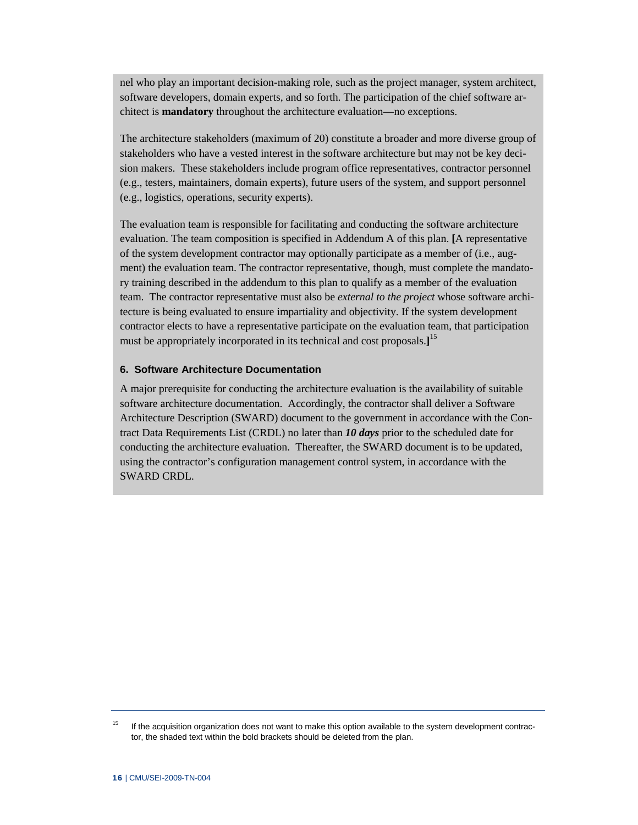nel who play an important decision-making role, such as the project manager, system architect, software developers, domain experts, and so forth. The participation of the chief software architect is **mandatory** throughout the architecture evaluation—no exceptions.

The architecture stakeholders (maximum of 20) constitute a broader and more diverse group of stakeholders who have a vested interest in the software architecture but may not be key decision makers. These stakeholders include program office representatives, contractor personnel (e.g., testers, maintainers, domain experts), future users of the system, and support personnel (e.g., logistics, operations, security experts).

The evaluation team is responsible for facilitating and conducting the software architecture evaluation. The team composition is specified in Addendum A of this plan. **[**A representative of the system development contractor may optionally participate as a member of (i.e., augment) the evaluation team. The contractor representative, though, must complete the mandatory training described in the addendum to this plan to qualify as a member of the evaluation team. The contractor representative must also be *external to the project* whose software architecture is being evaluated to ensure impartiality and objectivity. If the system development contractor elects to have a representative participate on the evaluation team, that participation must be appropriately incorporated in its technical and cost proposals.**]** 15

#### **6. Software Architecture Documentation**

A major prerequisite for conducting the architecture evaluation is the availability of suitable software architecture documentation. Accordingly, the contractor shall deliver a Software Architecture Description (SWARD) document to the government in accordance with the Contract Data Requirements List (CRDL) no later than *10 days* prior to the scheduled date for conducting the architecture evaluation. Thereafter, the SWARD document is to be updated, using the contractor's configuration management control system, in accordance with the SWARD CRDL.

<sup>&</sup>lt;sup>15</sup> If the acquisition organization does not want to make this option available to the system development contractor, the shaded text within the bold brackets should be deleted from the plan.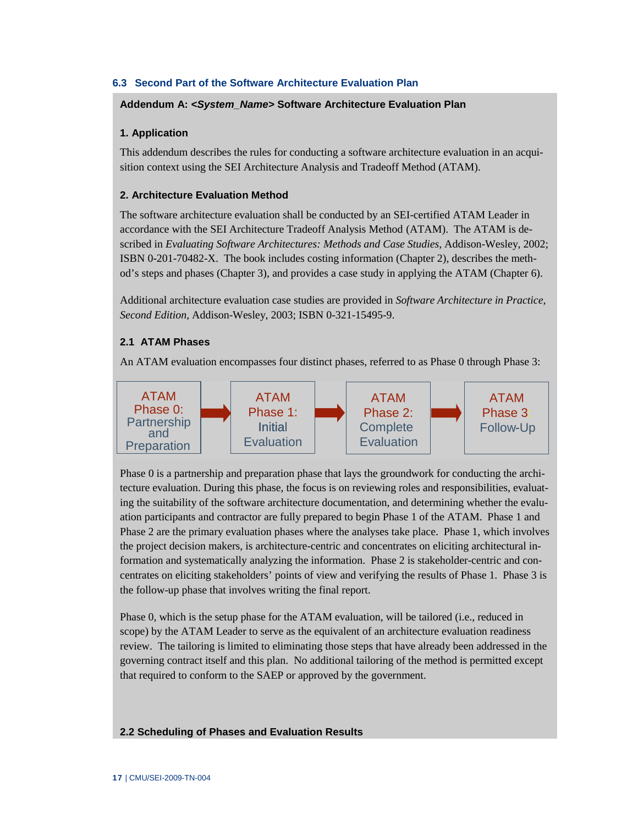#### **6.3 Second Part of the Software Architecture Evaluation Plan**

#### **Addendum A:** *<System\_Name>* **Software Architecture Evaluation Plan**

#### **1. Application**

This addendum describes the rules for conducting a software architecture evaluation in an acquisition context using the SEI Architecture Analysis and Tradeoff Method (ATAM).

#### **2. Architecture Evaluation Method**

The software architecture evaluation shall be conducted by an SEI-certified ATAM Leader in accordance with the SEI Architecture Tradeoff Analysis Method (ATAM). The ATAM is described in *Evaluating Software Architectures: Methods and Case Studies*, Addison-Wesley, 2002; ISBN 0-201-70482-X. The book includes costing information (Chapter 2), describes the method's steps and phases (Chapter 3), and provides a case study in applying the ATAM (Chapter 6).

Additional architecture evaluation case studies are provided in *Software Architecture in Practice, Second Edition*, Addison-Wesley, 2003; ISBN 0-321-15495-9.

#### **2.1 ATAM Phases**

An ATAM evaluation encompasses four distinct phases, referred to as Phase 0 through Phase 3:



Phase 0 is a partnership and preparation phase that lays the groundwork for conducting the architecture evaluation. During this phase, the focus is on reviewing roles and responsibilities, evaluating the suitability of the software architecture documentation, and determining whether the evaluation participants and contractor are fully prepared to begin Phase 1 of the ATAM. Phase 1 and Phase 2 are the primary evaluation phases where the analyses take place. Phase 1, which involves the project decision makers, is architecture-centric and concentrates on eliciting architectural information and systematically analyzing the information. Phase 2 is stakeholder-centric and concentrates on eliciting stakeholders' points of view and verifying the results of Phase 1. Phase 3 is the follow-up phase that involves writing the final report.

Phase 0, which is the setup phase for the ATAM evaluation, will be tailored (i.e., reduced in scope) by the ATAM Leader to serve as the equivalent of an architecture evaluation readiness review. The tailoring is limited to eliminating those steps that have already been addressed in the governing contract itself and this plan. No additional tailoring of the method is permitted except that required to conform to the SAEP or approved by the government.

#### **2.2 Scheduling of Phases and Evaluation Results**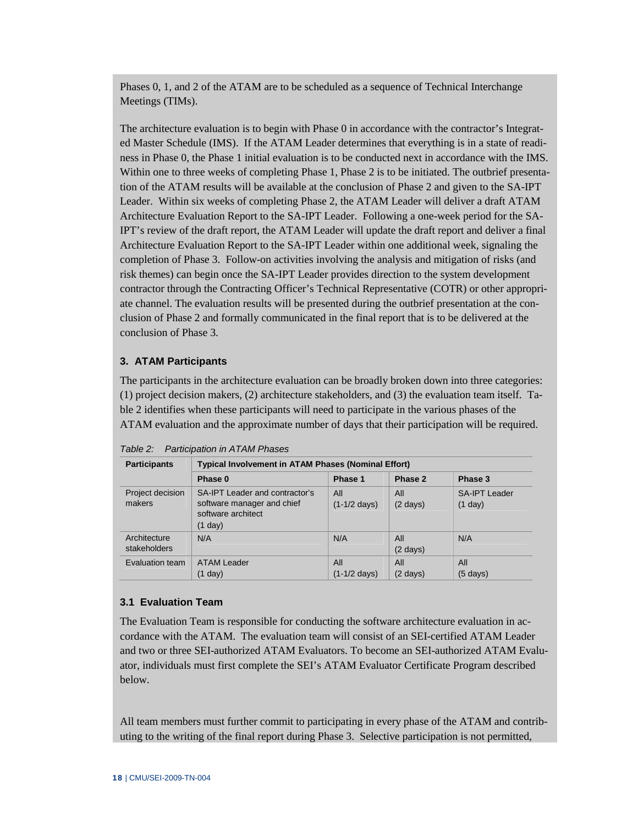Phases 0, 1, and 2 of the ATAM are to be scheduled as a sequence of Technical Interchange Meetings (TIMs).

The architecture evaluation is to begin with Phase 0 in accordance with the contractor's Integrated Master Schedule (IMS). If the ATAM Leader determines that everything is in a state of readiness in Phase 0, the Phase 1 initial evaluation is to be conducted next in accordance with the IMS. Within one to three weeks of completing Phase 1, Phase 2 is to be initiated. The outbrief presentation of the ATAM results will be available at the conclusion of Phase 2 and given to the SA-IPT Leader. Within six weeks of completing Phase 2, the ATAM Leader will deliver a draft ATAM Architecture Evaluation Report to the SA-IPT Leader. Following a one-week period for the SA-IPT's review of the draft report, the ATAM Leader will update the draft report and deliver a final Architecture Evaluation Report to the SA-IPT Leader within one additional week, signaling the completion of Phase 3. Follow-on activities involving the analysis and mitigation of risks (and risk themes) can begin once the SA-IPT Leader provides direction to the system development contractor through the Contracting Officer's Technical Representative (COTR) or other appropriate channel. The evaluation results will be presented during the outbrief presentation at the conclusion of Phase 2 and formally communicated in the final report that is to be delivered at the conclusion of Phase 3.

#### **3. ATAM Participants**

The participants in the architecture evaluation can be broadly broken down into three categories: (1) project decision makers, (2) architecture stakeholders, and (3) the evaluation team itself. Table 2 identifies when these participants will need to participate in the various phases of the ATAM evaluation and the approximate number of days that their participation will be required.

| <b>Participants</b>          | <b>Typical Involvement in ATAM Phases (Nominal Effort)</b>                                             |                               |                           |                                 |  |
|------------------------------|--------------------------------------------------------------------------------------------------------|-------------------------------|---------------------------|---------------------------------|--|
|                              | Phase 0                                                                                                | Phase 1                       | Phase 2                   | Phase 3                         |  |
| Project decision<br>makers   | <b>SA-IPT Leader and contractor's</b><br>software manager and chief<br>software architect<br>$(1$ day) | All<br>$(1-1/2 \text{ days})$ | All<br>$(2 \text{ days})$ | <b>SA-IPT Leader</b><br>(1 day) |  |
| Architecture<br>stakeholders | N/A                                                                                                    | N/A                           | All<br>$(2 \text{ days})$ | N/A                             |  |
| Evaluation team              | <b>ATAM Leader</b><br>(1 day)                                                                          | All<br>$(1-1/2 \text{ days})$ | All<br>$(2 \text{ days})$ | All<br>$(5 \text{ days})$       |  |

*Table 2: Participation in ATAM Phases* 

#### **3.1 Evaluation Team**

The Evaluation Team is responsible for conducting the software architecture evaluation in accordance with the ATAM. The evaluation team will consist of an SEI-certified ATAM Leader and two or three SEI-authorized ATAM Evaluators. To become an SEI-authorized ATAM Evaluator, individuals must first complete the SEI's ATAM Evaluator Certificate Program described below.

All team members must further commit to participating in every phase of the ATAM and contributing to the writing of the final report during Phase 3. Selective participation is not permitted,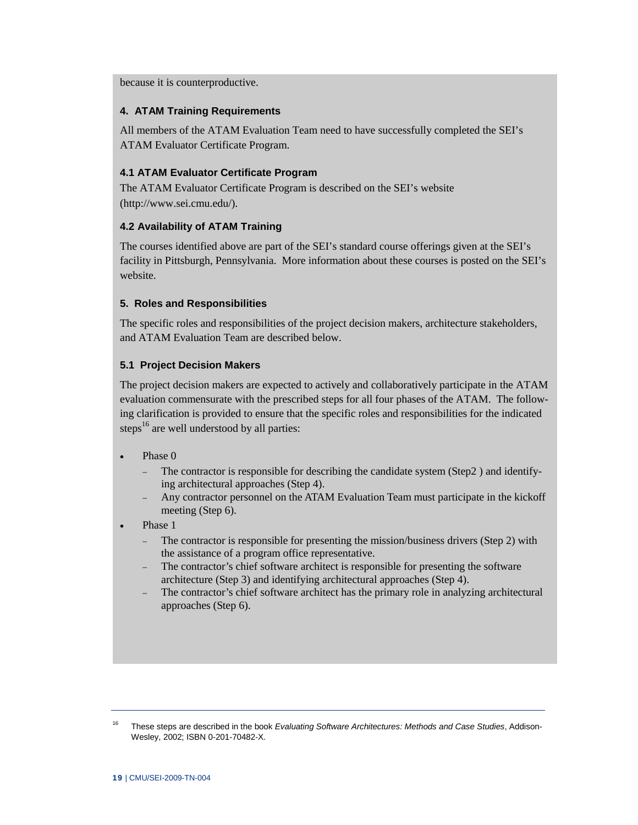because it is counterproductive.

#### **4. ATAM Training Requirements**

All members of the ATAM Evaluation Team need to have successfully completed the SEI's ATAM Evaluator Certificate Program.

#### **4.1 ATAM Evaluator Certificate Program**

The ATAM Evaluator Certificate Program is described on the SEI's website ([http://www.sei.cmu.edu/\).](http://www.sei.cmu.edu/) 

#### **4.2 Availability of ATAM Training**

The courses identified above are part of the SEI's standard course offerings given at the SEI's facility in Pittsburgh, Pennsylvania. More information about these courses is posted on the SEI's website.

#### **5. Roles and Responsibilities**

The specific roles and responsibilities of the project decision makers, architecture stakeholders, and ATAM Evaluation Team are described below.

#### **5.1 Project Decision Makers**

The project decision makers are expected to actively and collaboratively participate in the ATAM evaluation commensurate with the prescribed steps for all four phases of the ATAM. The following clarification is provided to ensure that the specific roles and responsibilities for the indicated steps<sup>16</sup> are well understood by all parties:

- Phase 0
	- The contractor is responsible for describing the candidate system (Step2) and identifying architectural approaches (Step 4).
	- Any contractor personnel on the ATAM Evaluation Team must participate in the kickoff meeting (Step 6).
- Phase 1
	- − The contractor is responsible for presenting the mission/business drivers (Step 2) with the assistance of a program office representative.
	- The contractor's chief software architect is responsible for presenting the software architecture (Step 3) and identifying architectural approaches (Step 4).
	- The contractor's chief software architect has the primary role in analyzing architectural approaches (Step 6).

<sup>16</sup> These steps are described in the book *Evaluating Software Architectures: Methods and Case Studies*, Addison-Wesley, 2002; ISBN 0-201-70482-X.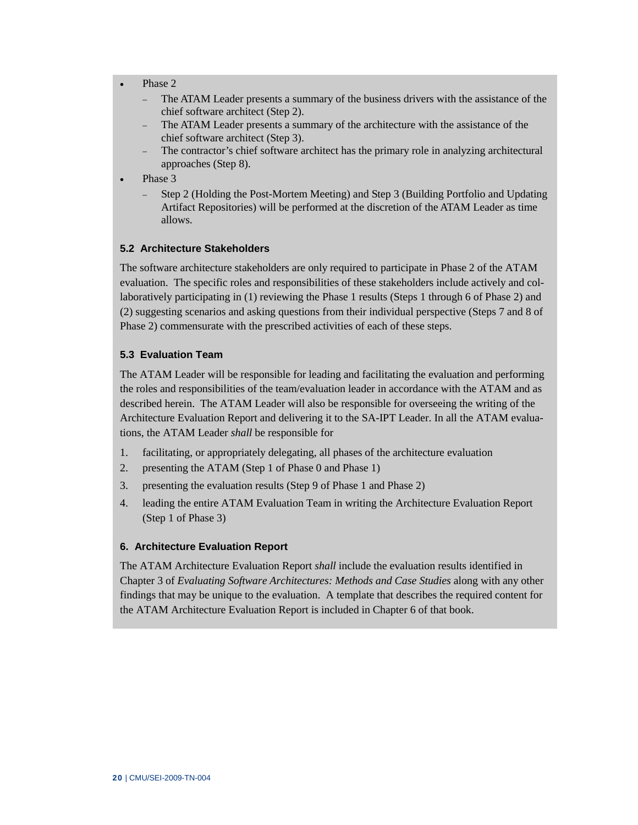- Phase 2
	- The ATAM Leader presents a summary of the business drivers with the assistance of the chief software architect (Step 2).
	- The ATAM Leader presents a summary of the architecture with the assistance of the chief software architect (Step 3).
	- The contractor's chief software architect has the primary role in analyzing architectural approaches (Step 8).
- Phase 3
	- Step 2 (Holding the Post-Mortem Meeting) and Step 3 (Building Portfolio and Updating Artifact Repositories) will be performed at the discretion of the ATAM Leader as time allows.

#### **5.2 Architecture Stakeholders**

The software architecture stakeholders are only required to participate in Phase 2 of the ATAM evaluation. The specific roles and responsibilities of these stakeholders include actively and collaboratively participating in (1) reviewing the Phase 1 results (Steps 1 through 6 of Phase 2) and (2) suggesting scenarios and asking questions from their individual perspective (Steps 7 and 8 of Phase 2) commensurate with the prescribed activities of each of these steps.

#### **5.3 Evaluation Team**

The ATAM Leader will be responsible for leading and facilitating the evaluation and performing the roles and responsibilities of the team/evaluation leader in accordance with the ATAM and as described herein. The ATAM Leader will also be responsible for overseeing the writing of the Architecture Evaluation Report and delivering it to the SA-IPT Leader. In all the ATAM evaluations, the ATAM Leader *shall* be responsible for

- 1. facilitating, or appropriately delegating, all phases of the architecture evaluation
- 2. presenting the ATAM (Step 1 of Phase 0 and Phase 1)
- 3. presenting the evaluation results (Step 9 of Phase 1 and Phase 2)
- 4. leading the entire ATAM Evaluation Team in writing the Architecture Evaluation Report (Step 1 of Phase 3)

#### **6. Architecture Evaluation Report**

The ATAM Architecture Evaluation Report *shall* include the evaluation results identified in Chapter 3 of *Evaluating Software Architectures: Methods and Case Studies* along with any other findings that may be unique to the evaluation. A template that describes the required content for the ATAM Architecture Evaluation Report is included in Chapter 6 of that book.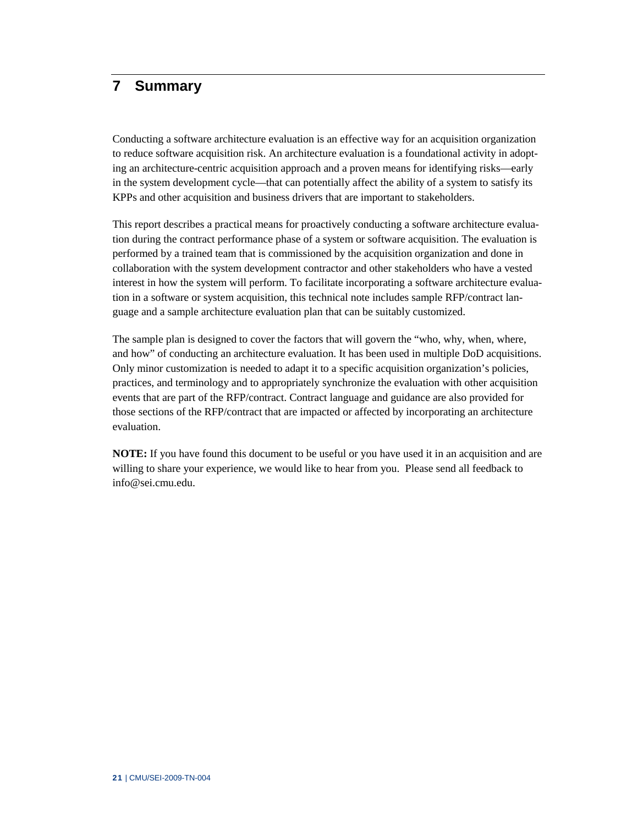### **7 Summary**

Conducting a software architecture evaluation is an effective way for an acquisition organization to reduce software acquisition risk. An architecture evaluation is a foundational activity in adopting an architecture-centric acquisition approach and a proven means for identifying risks—early in the system development cycle—that can potentially affect the ability of a system to satisfy its KPPs and other acquisition and business drivers that are important to stakeholders.

This report describes a practical means for proactively conducting a software architecture evaluation during the contract performance phase of a system or software acquisition. The evaluation is performed by a trained team that is commissioned by the acquisition organization and done in collaboration with the system development contractor and other stakeholders who have a vested interest in how the system will perform. To facilitate incorporating a software architecture evaluation in a software or system acquisition, this technical note includes sample RFP/contract language and a sample architecture evaluation plan that can be suitably customized.

The sample plan is designed to cover the factors that will govern the "who, why, when, where, and how" of conducting an architecture evaluation. It has been used in multiple DoD acquisitions. Only minor customization is needed to adapt it to a specific acquisition organization's policies, practices, and terminology and to appropriately synchronize the evaluation with other acquisition events that are part of the RFP/contract. Contract language and guidance are also provided for those sections of the RFP/contract that are impacted or affected by incorporating an architecture evaluation.

**NOTE:** If you have found this document to be useful or you have used it in an acquisition and are willing to share your experience, we would like to hear from you. Please send all feedback to [info@sei.cmu.edu.](mailto:info@sei.cmu.edu)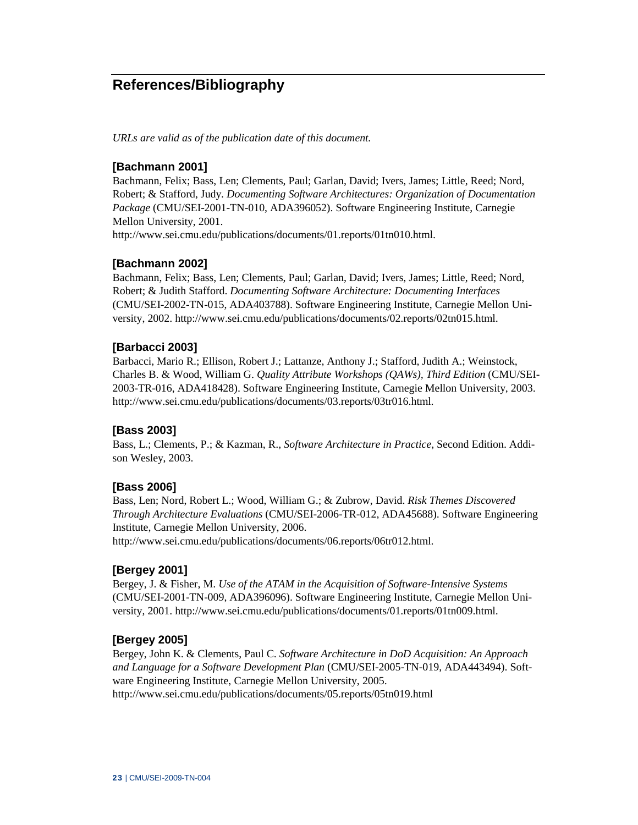## **References/Bibliography**

*URLs are valid as of the publication date of this document.* 

#### **[Bachmann 2001]**

Bachmann, Felix; Bass, Len; Clements, Paul; Garlan, David; Ivers, James; Little, Reed; Nord, Robert; & Stafford, Judy. *Documenting Software Architectures: Organization of Documentation Package* (CMU/SEI-2001-TN-010, ADA396052). Software Engineering Institute, Carnegie Mellon University, 2001. [http://www.sei.cmu.edu/publications/documents/01.reports/01tn010.html.](http://www.sei.cmu.edu/publications/documents/01.reports/01tn010.html) 

#### **[Bachmann 2002]**

Bachmann, Felix; Bass, Len; Clements, Paul; Garlan, David; Ivers, James; Little, Reed; Nord, Robert; & Judith Stafford. *Documenting Software Architecture: Documenting Interfaces* (CMU/SEI-2002-TN-015, ADA403788). Software Engineering Institute, Carnegie Mellon University, 2002. [http://www.sei.cmu.edu/publications/documents/02.reports/02tn015.html.](http://www.sei.cmu.edu/publications/documents/02.reports/02tn015.html) 

#### **[Barbacci 2003]**

Barbacci, Mario R.; Ellison, Robert J.; Lattanze, Anthony J.; Stafford, Judith A.; Weinstock, Charles B. & Wood, William G. *Quality Attribute Workshops (QAWs), Third Edition* (CMU/SEI-2003-TR-016, ADA418428). Software Engineering Institute, Carnegie Mellon University, 2003. [http://www.sei.cmu.edu/publications/documents/03.reports/03tr016.html.](http://www.sei.cmu.edu/publications/documents/03.reports/03tr016.html) 

#### **[Bass 2003]**

Bass, L.; Clements, P.; & Kazman, R., *Software Architecture in Practice*, Second Edition. Addison Wesley, 2003.

#### **[Bass 2006]**

Bass, Len; Nord, Robert L.; Wood, William G.; & Zubrow, David. *Risk Themes Discovered Through Architecture Evaluations* (CMU/SEI-2006-TR-012, ADA45688). Software Engineering Institute, Carnegie Mellon University, 2006.

[http://www.sei.cmu.edu/publications/documents/06.reports/06tr012.html.](http://www.sei.cmu.edu/publications/documents/06.reports/06tr012.html) 

#### **[Bergey 2001]**

Bergey, J. & Fisher, M. *Use of the ATAM in the Acquisition of Software-Intensive Systems* (CMU/SEI-2001-TN-009, ADA396096). Software Engineering Institute, Carnegie Mellon University, 2001. [http://www.sei.cmu.edu/publications/documents/01.reports/01tn009.html.](http://www.sei.cmu.edu/publications/documents/01.reports/01tn009.html) 

#### **[Bergey 2005]**

Bergey, John K. & Clements, Paul C. *Software Architecture in DoD Acquisition: An Approach and Language for a Software Development Plan* (CMU/SEI-2005-TN-019, ADA443494). Software Engineering Institute, Carnegie Mellon University, 2005. <http://www.sei.cmu.edu/publications/documents/05.reports/05tn019.html>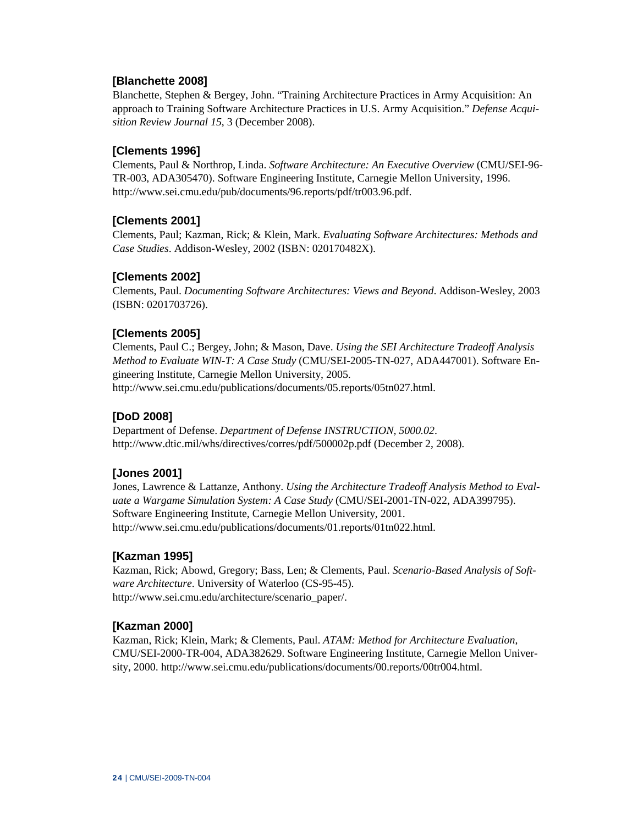#### **[Blanchette 2008]**

Blanchette, Stephen & Bergey, John. "Training Architecture Practices in Army Acquisition: An approach to Training Software Architecture Practices in U.S. Army Acquisition." *Defense Acquisition Review Journal 15*, 3 (December 2008).

#### **[Clements 1996]**

Clements, Paul & Northrop, Linda. *Software Architecture: An Executive Overview* (CMU/SEI-96- TR-003, ADA305470). Software Engineering Institute, Carnegie Mellon University, 1996. [http://www.sei.cmu.edu/pub/documents/96.reports/pdf/tr003.96.pdf.](http://www.sei.cmu.edu/pub/documents/96.reports/pdf/tr003.96.pdf) 

#### **[Clements 2001]**

Clements, Paul; Kazman, Rick; & Klein, Mark. *Evaluating Software Architectures: Methods and Case Studies*. Addison-Wesley, 2002 (ISBN: 020170482X).

#### **[Clements 2002]**

Clements, Paul. *Documenting Software Architectures: Views and Beyond*. Addison-Wesley, 2003 (ISBN: 0201703726).

#### **[Clements 2005]**

Clements, Paul C.; Bergey, John; & Mason, Dave. *Using the SEI Architecture Tradeoff Analysis Method to Evaluate WIN-T: A Case Study* (CMU/SEI-2005-TN-027, ADA447001). Software Engineering Institute, Carnegie Mellon University, 2005. [http://www.sei.cmu.edu/publications/documents/05.reports/05tn027.html.](http://www.sei.cmu.edu/publications/documents/05.reports/05tn027.html) 

#### **[DoD 2008]**

Department of Defense. *Department of Defense INSTRUCTION, 5000.02*. [http://www.dtic.mil/whs/directives/corres/pdf/500002p.pdf \(D](http://www.dtic.mil/whs/directives/corres/pdf/500002p.pdf)ecember 2, 2008).

#### **[Jones 2001]**

Jones, Lawrence & Lattanze, Anthony. *Using the Architecture Tradeoff Analysis Method to Evaluate a Wargame Simulation System: A Case Study* (CMU/SEI-2001-TN-022, ADA399795). Software Engineering Institute, Carnegie Mellon University, 2001. [http://www.sei.cmu.edu/publications/documents/01.reports/01tn022.html.](http://www.sei.cmu.edu/publications/documents/01.reports/01tn022.html) 

#### **[Kazman 1995]**

Kazman, Rick; Abowd, Gregory; Bass, Len; & Clements, Paul. *Scenario-Based Analysis of Software Architecture*. University of Waterloo (CS-95-45). [http://www.sei.cmu.edu/architecture/scenario\\_paper/.](http://www.sei.cmu.edu/architecture/scenario_paper/) 

#### **[Kazman 2000]**

Kazman, Rick; Klein, Mark; & Clements, Paul. *ATAM: Method for Architecture Evaluation*, CMU/SEI-2000-TR-004, ADA382629. Software Engineering Institute, Carnegie Mellon University, 2000. [http://www.sei.cmu.edu/publications/documents/00.reports/00tr004.html.](http://www.sei.cmu.edu/publications/documents/00.reports/00tr004.html)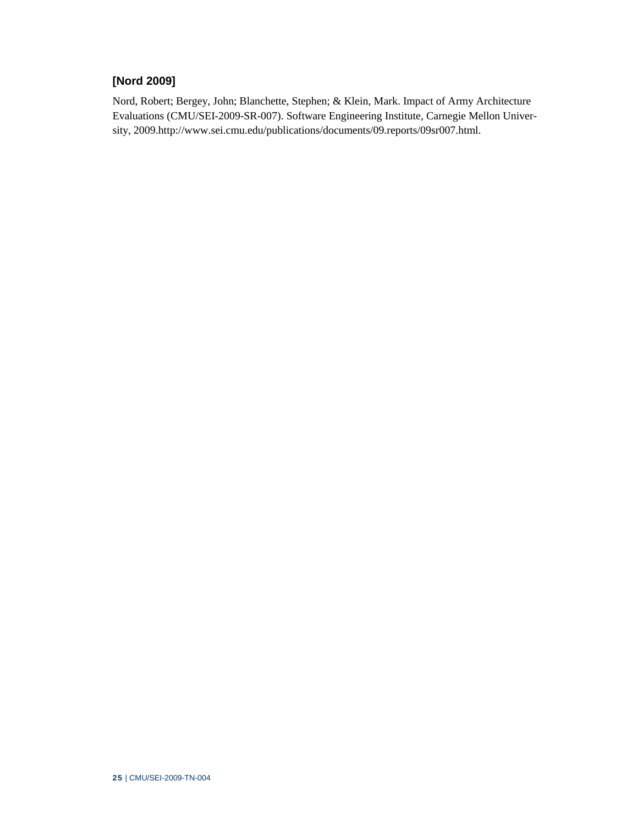#### **[Nord 2009]**

Nord, Robert; Bergey, John; Blanchette, Stephen; & Klein, Mark. Impact of Army Architecture Evaluations (CMU/SEI-2009-SR-007). Software Engineering Institute, Carnegie Mellon University, 2009.[http://www.sei.cmu.edu/publications/documents/09.reports/09sr007.html.](http://www.sei.cmu.edu/publications/documents/09.reports/09sr007.html)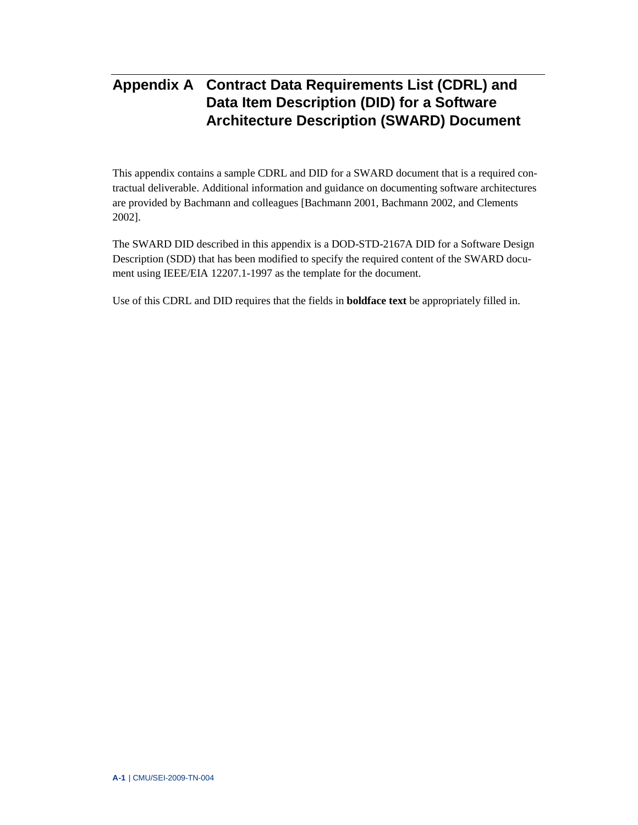## **Appendix A Contract Data Requirements List (CDRL) and Data Item Description (DID) for a Software Architecture Description (SWARD) Document**

This appendix contains a sample CDRL and DID for a SWARD document that is a required contractual deliverable. Additional information and guidance on documenting software architectures are provided by Bachmann and colleagues [Bachmann 2001, Bachmann 2002, and Clements 2002].

The SWARD DID described in this appendix is a DOD-STD-2167A DID for a Software Design Description (SDD) that has been modified to specify the required content of the SWARD document using IEEE/EIA 12207.1-1997 as the template for the document.

Use of this CDRL and DID requires that the fields in **boldface text** be appropriately filled in.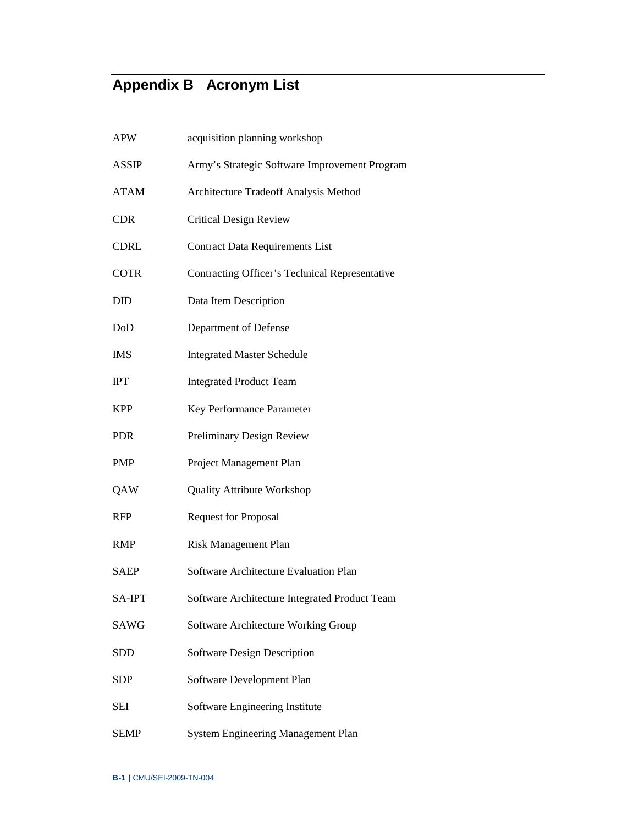## **Appendix B Acronym List**

| <b>APW</b>   | acquisition planning workshop                  |
|--------------|------------------------------------------------|
| <b>ASSIP</b> | Army's Strategic Software Improvement Program  |
| <b>ATAM</b>  | Architecture Tradeoff Analysis Method          |
| <b>CDR</b>   | <b>Critical Design Review</b>                  |
| <b>CDRL</b>  | <b>Contract Data Requirements List</b>         |
| <b>COTR</b>  | Contracting Officer's Technical Representative |
| DID          | Data Item Description                          |
| DoD          | Department of Defense                          |
| <b>IMS</b>   | <b>Integrated Master Schedule</b>              |
| <b>IPT</b>   | <b>Integrated Product Team</b>                 |
| <b>KPP</b>   | Key Performance Parameter                      |
| <b>PDR</b>   | Preliminary Design Review                      |
| <b>PMP</b>   | Project Management Plan                        |
| QAW          | <b>Quality Attribute Workshop</b>              |
| <b>RFP</b>   | <b>Request for Proposal</b>                    |
| <b>RMP</b>   | Risk Management Plan                           |
| <b>SAEP</b>  | Software Architecture Evaluation Plan          |
| SA-IPT       | Software Architecture Integrated Product Team  |
| <b>SAWG</b>  | Software Architecture Working Group            |
| <b>SDD</b>   | <b>Software Design Description</b>             |
| <b>SDP</b>   | Software Development Plan                      |
| SEI          | Software Engineering Institute                 |
| <b>SEMP</b>  | System Engineering Management Plan             |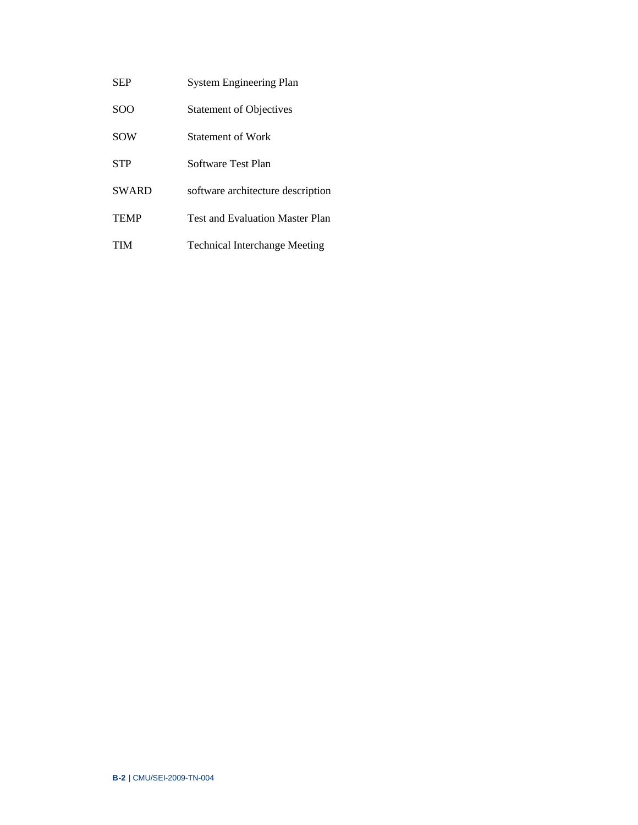- SEP System Engineering Plan
- SOO Statement of Objectives
- SOW Statement of Work
- STP Software Test Plan
- SWARD software architecture description
- TEMP Test and Evaluation Master Plan
- TIM Technical Interchange Meeting